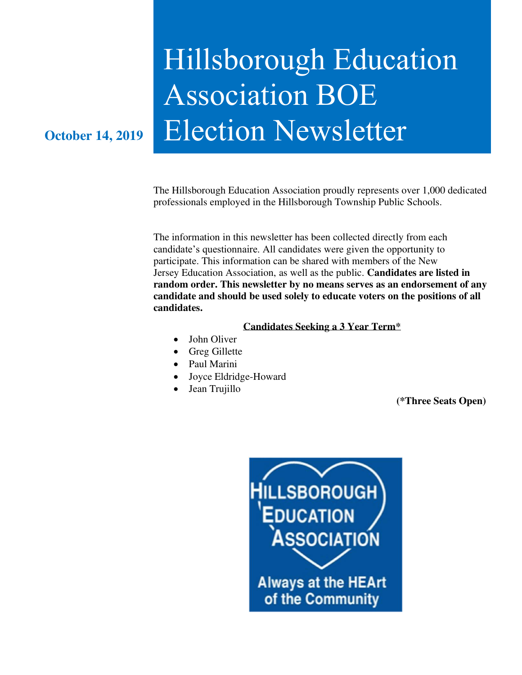# Hillsborough Education Association BOE **October 14, 2019** Election Newsletter

The Hillsborough Education Association proudly represents over 1,000 dedicated professionals employed in the Hillsborough Township Public Schools.

The information in this newsletter has been collected directly from each candidate's questionnaire. All candidates were given the opportunity to participate. This information can be shared with members of the New Jersey Education Association, as well as the public. **Candidates are listed in random order. This newsletter by no means serves as an endorsement of any candidate and should be used solely to educate voters on the positions of all candidates.** 

#### **Candidates Seeking a 3 Year Term\***

- John Oliver
- Greg Gillette
- Paul Marini
- Joyce Eldridge-Howard
- Jean Trujillo

**(\*Three Seats Open)** 

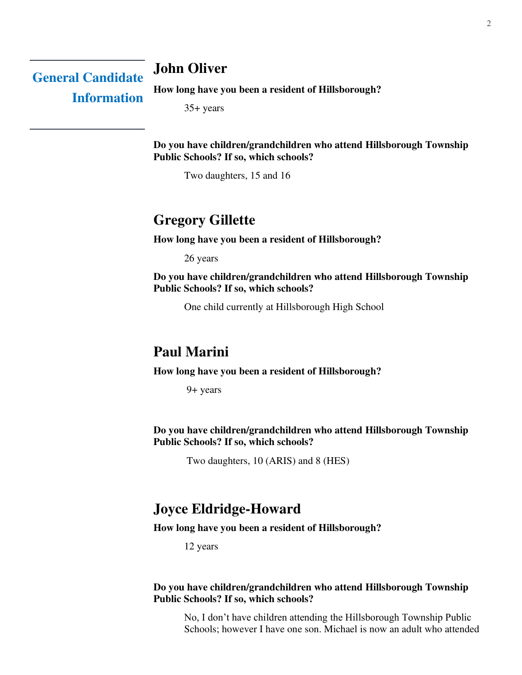### **John Oliver**

**General Candidate Information** 

**How long have you been a resident of Hillsborough?** 

35+ years

**Do you have children/grandchildren who attend Hillsborough Township Public Schools? If so, which schools?** 

Two daughters, 15 and 16

### **Gregory Gillette**

**How long have you been a resident of Hillsborough?** 

26 years

**Do you have children/grandchildren who attend Hillsborough Township Public Schools? If so, which schools?** 

One child currently at Hillsborough High School

### **Paul Marini**

**How long have you been a resident of Hillsborough?** 

9+ years

**Do you have children/grandchildren who attend Hillsborough Township Public Schools? If so, which schools?** 

Two daughters, 10 (ARIS) and 8 (HES)

### **Joyce Eldridge-Howard**

#### **How long have you been a resident of Hillsborough?**

12 years

#### **Do you have children/grandchildren who attend Hillsborough Township Public Schools? If so, which schools?**

No, I don't have children attending the Hillsborough Township Public Schools; however I have one son. Michael is now an adult who attended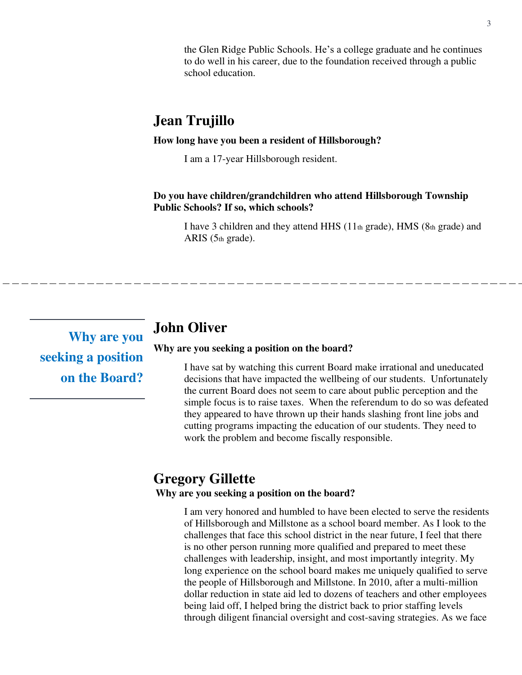the Glen Ridge Public Schools. He's a college graduate and he continues to do well in his career, due to the foundation received through a public school education.

### **Jean Trujillo**

#### **How long have you been a resident of Hillsborough?**

I am a 17-year Hillsborough resident.

**Do you have children/grandchildren who attend Hillsborough Township Public Schools? If so, which schools?** 

I have 3 children and they attend HHS (11th grade), HMS (8th grade) and ARIS (5th grade).

**Why are you seeking a position on the Board?** 

### **John Oliver**

**Why are you seeking a position on the board?** 

I have sat by watching this current Board make irrational and uneducated decisions that have impacted the wellbeing of our students. Unfortunately the current Board does not seem to care about public perception and the simple focus is to raise taxes. When the referendum to do so was defeated they appeared to have thrown up their hands slashing front line jobs and cutting programs impacting the education of our students. They need to work the problem and become fiscally responsible.

### **Gregory Gillette**

#### **Why are you seeking a position on the board?**

I am very honored and humbled to have been elected to serve the residents of Hillsborough and Millstone as a school board member. As I look to the challenges that face this school district in the near future, I feel that there is no other person running more qualified and prepared to meet these challenges with leadership, insight, and most importantly integrity. My long experience on the school board makes me uniquely qualified to serve the people of Hillsborough and Millstone. In 2010, after a multi-million dollar reduction in state aid led to dozens of teachers and other employees being laid off, I helped bring the district back to prior staffing levels through diligent financial oversight and cost-saving strategies. As we face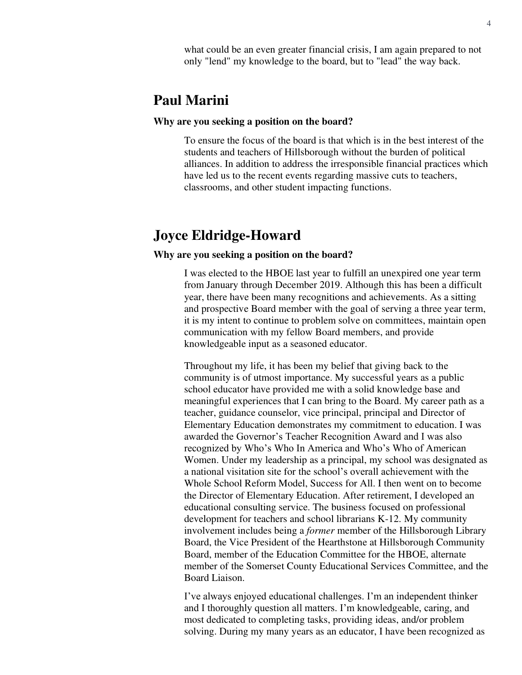what could be an even greater financial crisis, I am again prepared to not only "lend" my knowledge to the board, but to "lead" the way back.

### **Paul Marini**

#### **Why are you seeking a position on the board?**

To ensure the focus of the board is that which is in the best interest of the students and teachers of Hillsborough without the burden of political alliances. In addition to address the irresponsible financial practices which have led us to the recent events regarding massive cuts to teachers, classrooms, and other student impacting functions.

### **Joyce Eldridge-Howard**

#### **Why are you seeking a position on the board?**

I was elected to the HBOE last year to fulfill an unexpired one year term from January through December 2019. Although this has been a difficult year, there have been many recognitions and achievements. As a sitting and prospective Board member with the goal of serving a three year term, it is my intent to continue to problem solve on committees, maintain open communication with my fellow Board members, and provide knowledgeable input as a seasoned educator.

Throughout my life, it has been my belief that giving back to the community is of utmost importance. My successful years as a public school educator have provided me with a solid knowledge base and meaningful experiences that I can bring to the Board. My career path as a teacher, guidance counselor, vice principal, principal and Director of Elementary Education demonstrates my commitment to education. I was awarded the Governor's Teacher Recognition Award and I was also recognized by Who's Who In America and Who's Who of American Women. Under my leadership as a principal, my school was designated as a national visitation site for the school's overall achievement with the Whole School Reform Model, Success for All. I then went on to become the Director of Elementary Education. After retirement, I developed an educational consulting service. The business focused on professional development for teachers and school librarians K-12. My community involvement includes being a *former* member of the Hillsborough Library Board, the Vice President of the Hearthstone at Hillsborough Community Board, member of the Education Committee for the HBOE, alternate member of the Somerset County Educational Services Committee, and the Board Liaison.

I've always enjoyed educational challenges. I'm an independent thinker and I thoroughly question all matters. I'm knowledgeable, caring, and most dedicated to completing tasks, providing ideas, and/or problem solving. During my many years as an educator, I have been recognized as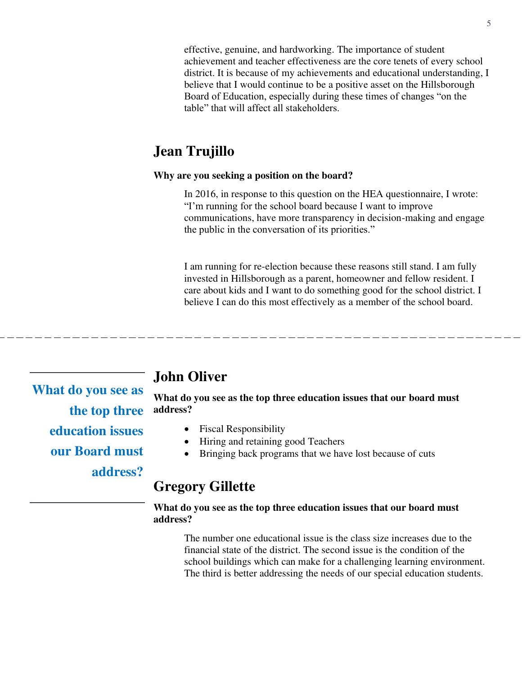effective, genuine, and hardworking. The importance of student achievement and teacher effectiveness are the core tenets of every school district. It is because of my achievements and educational understanding, I believe that I would continue to be a positive asset on the Hillsborough Board of Education, especially during these times of changes "on the table" that will affect all stakeholders.

### **Jean Trujillo**

#### **Why are you seeking a position on the board?**

In 2016, in response to this question on the HEA questionnaire, I wrote: "I'm running for the school board because I want to improve communications, have more transparency in decision-making and engage the public in the conversation of its priorities."

I am running for re-election because these reasons still stand. I am fully invested in Hillsborough as a parent, homeowner and fellow resident. I care about kids and I want to do something good for the school district. I believe I can do this most effectively as a member of the school board.

**What do you see as the top three education issues our Board must address?** 

### **John Oliver**

**What do you see as the top three education issues that our board must address?** 

- Fiscal Responsibility
- Hiring and retaining good Teachers
- Bringing back programs that we have lost because of cuts

### **Gregory Gillette**

#### **What do you see as the top three education issues that our board must address?**

The number one educational issue is the class size increases due to the financial state of the district. The second issue is the condition of the school buildings which can make for a challenging learning environment. The third is better addressing the needs of our special education students.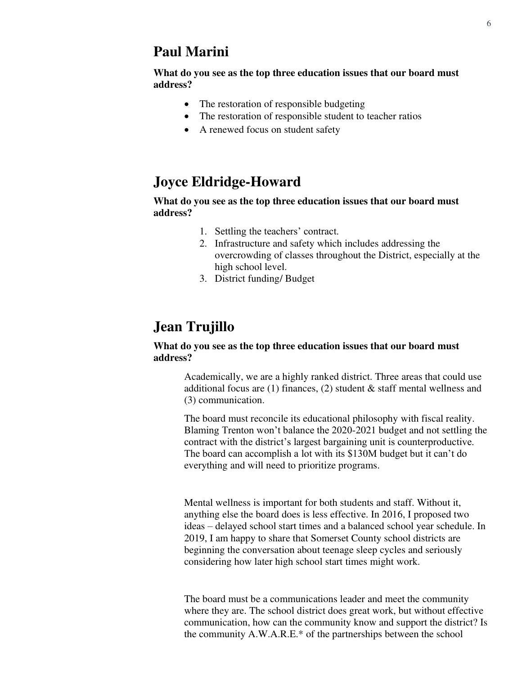### **Paul Marini**

**What do you see as the top three education issues that our board must address?**

- The restoration of responsible budgeting
- The restoration of responsible student to teacher ratios
- A renewed focus on student safety

### **Joyce Eldridge-Howard**

#### **What do you see as the top three education issues that our board must address?**

- 1. Settling the teachers' contract.
- 2. Infrastructure and safety which includes addressing the overcrowding of classes throughout the District, especially at the high school level.
- 3. District funding/ Budget

### **Jean Trujillo**

#### **What do you see as the top three education issues that our board must address?**

Academically, we are a highly ranked district. Three areas that could use additional focus are  $(1)$  finances,  $(2)$  student & staff mental wellness and (3) communication.

The board must reconcile its educational philosophy with fiscal reality. Blaming Trenton won't balance the 2020-2021 budget and not settling the contract with the district's largest bargaining unit is counterproductive. The board can accomplish a lot with its \$130M budget but it can't do everything and will need to prioritize programs.

Mental wellness is important for both students and staff. Without it, anything else the board does is less effective. In 2016, I proposed two ideas – delayed school start times and a balanced school year schedule. In 2019, I am happy to share that Somerset County school districts are beginning the conversation about teenage sleep cycles and seriously considering how later high school start times might work.

The board must be a communications leader and meet the community where they are. The school district does great work, but without effective communication, how can the community know and support the district? Is the community A.W.A.R.E.\* of the partnerships between the school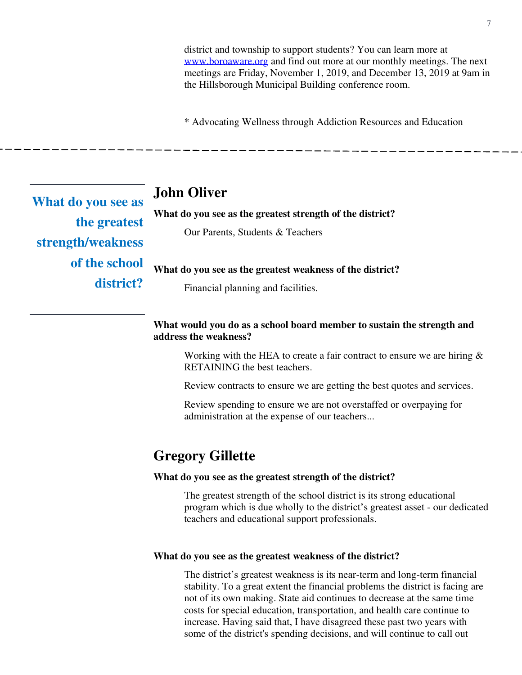district and township to support students? You can learn more at [www.boroaware.org](http://www.boroaware.org/) and find out more at our monthly meetings. The next meetings are Friday, November 1, 2019, and December 13, 2019 at 9am in the Hillsborough Municipal Building conference room.

\* Advocating Wellness through Addiction Resources and Education

**What do you see as the greatest strength/weakness of the school district?** 

### **John Oliver**

#### **What do you see as the greatest strength of the district?**

Our Parents, Students & Teachers

**What do you see as the greatest weakness of the district?** 

Financial planning and facilities.

#### **What would you do as a school board member to sustain the strength and address the weakness?**

Working with the HEA to create a fair contract to ensure we are hiring  $\&$ RETAINING the best teachers.

Review contracts to ensure we are getting the best quotes and services.

Review spending to ensure we are not overstaffed or overpaying for administration at the expense of our teachers...

### **Gregory Gillette**

#### **What do you see as the greatest strength of the district?**

The greatest strength of the school district is its strong educational program which is due wholly to the district's greatest asset - our dedicated teachers and educational support professionals.

#### **What do you see as the greatest weakness of the district?**

The district's greatest weakness is its near-term and long-term financial stability. To a great extent the financial problems the district is facing are not of its own making. State aid continues to decrease at the same time costs for special education, transportation, and health care continue to increase. Having said that, I have disagreed these past two years with some of the district's spending decisions, and will continue to call out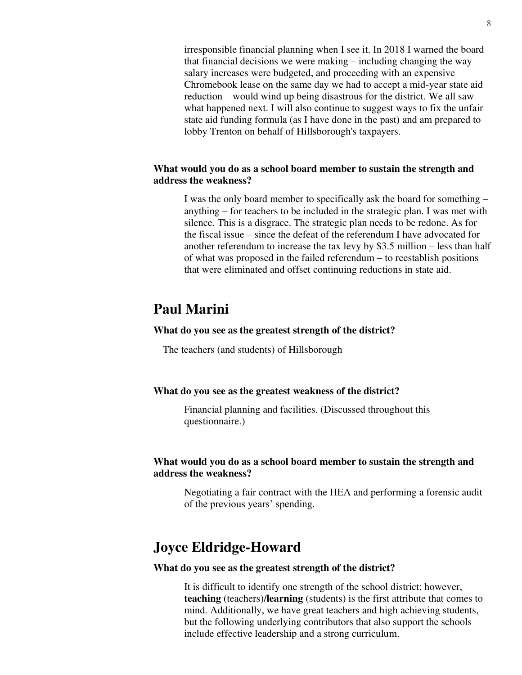irresponsible financial planning when I see it. In 2018 I warned the board that financial decisions we were making – including changing the way salary increases were budgeted, and proceeding with an expensive Chromebook lease on the same day we had to accept a mid-year state aid reduction – would wind up being disastrous for the district. We all saw what happened next. I will also continue to suggest ways to fix the unfair state aid funding formula (as I have done in the past) and am prepared to lobby Trenton on behalf of Hillsborough's taxpayers.

#### **What would you do as a school board member to sustain the strength and address the weakness?**

I was the only board member to specifically ask the board for something – anything – for teachers to be included in the strategic plan. I was met with silence. This is a disgrace. The strategic plan needs to be redone. As for the fiscal issue – since the defeat of the referendum I have advocated for another referendum to increase the tax levy by \$3.5 million – less than half of what was proposed in the failed referendum – to reestablish positions that were eliminated and offset continuing reductions in state aid.

### **Paul Marini**

#### **What do you see as the greatest strength of the district?**

The teachers (and students) of Hillsborough

#### **What do you see as the greatest weakness of the district?**

Financial planning and facilities. (Discussed throughout this questionnaire.)

#### **What would you do as a school board member to sustain the strength and address the weakness?**

Negotiating a fair contract with the HEA and performing a forensic audit of the previous years' spending.

### **Joyce Eldridge-Howard**

#### **What do you see as the greatest strength of the district?**

It is difficult to identify one strength of the school district; however, **teaching** (teachers)/**learning** (students) is the first attribute that comes to mind. Additionally, we have great teachers and high achieving students, but the following underlying contributors that also support the schools include effective leadership and a strong curriculum.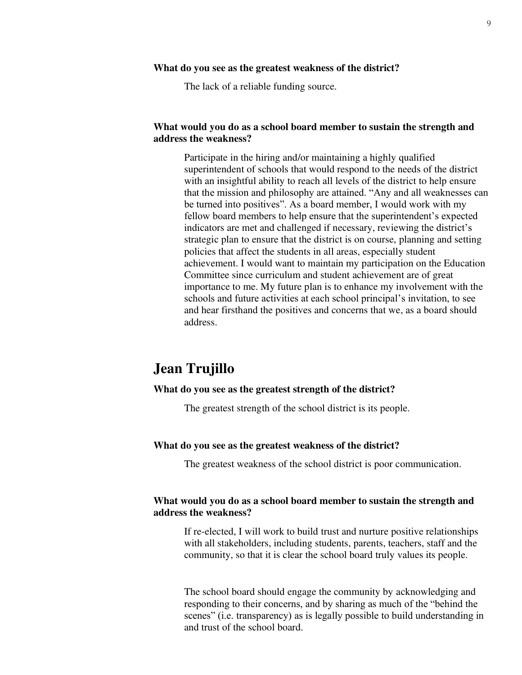#### **What do you see as the greatest weakness of the district?**

The lack of a reliable funding source.

#### **What would you do as a school board member to sustain the strength and address the weakness?**

Participate in the hiring and/or maintaining a highly qualified superintendent of schools that would respond to the needs of the district with an insightful ability to reach all levels of the district to help ensure that the mission and philosophy are attained. "Any and all weaknesses can be turned into positives". As a board member, I would work with my fellow board members to help ensure that the superintendent's expected indicators are met and challenged if necessary, reviewing the district's strategic plan to ensure that the district is on course, planning and setting policies that affect the students in all areas, especially student achievement. I would want to maintain my participation on the Education Committee since curriculum and student achievement are of great importance to me. My future plan is to enhance my involvement with the schools and future activities at each school principal's invitation, to see and hear firsthand the positives and concerns that we, as a board should address.

### **Jean Trujillo**

#### **What do you see as the greatest strength of the district?**

The greatest strength of the school district is its people.

#### **What do you see as the greatest weakness of the district?**

The greatest weakness of the school district is poor communication.

#### **What would you do as a school board member to sustain the strength and address the weakness?**

If re-elected, I will work to build trust and nurture positive relationships with all stakeholders, including students, parents, teachers, staff and the community, so that it is clear the school board truly values its people.

The school board should engage the community by acknowledging and responding to their concerns, and by sharing as much of the "behind the scenes" (i.e. transparency) as is legally possible to build understanding in and trust of the school board.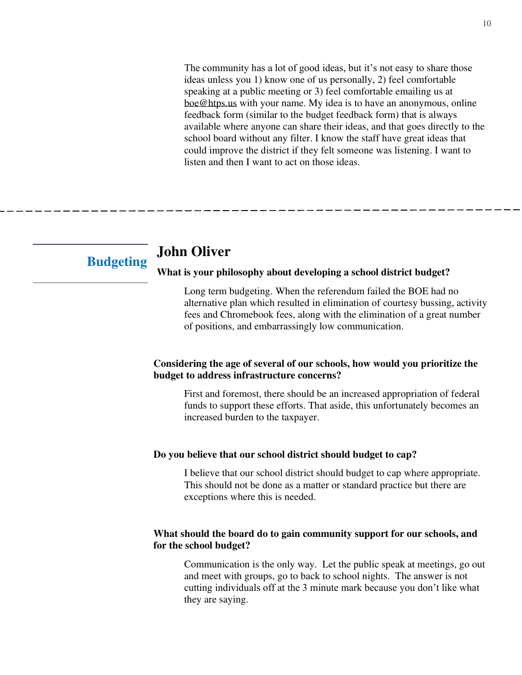The community has a lot of good ideas, but it's not easy to share those ideas unless you 1) know one of us personally, 2) feel comfortable speaking at a public meeting or 3) feel comfortable emailing us at [boe@htps.us](mailto:boe@htps.us) with your name. My idea is to have an anonymous, online feedback form (similar to the budget feedback form) that is always available where anyone can share their ideas, and that goes directly to the school board without any filter. I know the staff have great ideas that could improve the district if they felt someone was listening. I want to listen and then I want to act on those ideas.

# **Budgeting**

### **John Oliver**

#### **What is your philosophy about developing a school district budget?**

Long term budgeting. When the referendum failed the BOE had no alternative plan which resulted in elimination of courtesy bussing, activity fees and Chromebook fees, along with the elimination of a great number of positions, and embarrassingly low communication.

#### **Considering the age of several of our schools, how would you prioritize the budget to address infrastructure concerns?**

First and foremost, there should be an increased appropriation of federal funds to support these efforts. That aside, this unfortunately becomes an increased burden to the taxpayer.

#### **Do you believe that our school district should budget to cap?**

I believe that our school district should budget to cap where appropriate. This should not be done as a matter or standard practice but there are exceptions where this is needed.

#### **What should the board do to gain community support for our schools, and for the school budget?**

Communication is the only way. Let the public speak at meetings, go out and meet with groups, go to back to school nights. The answer is not cutting individuals off at the 3 minute mark because you don't like what they are saying.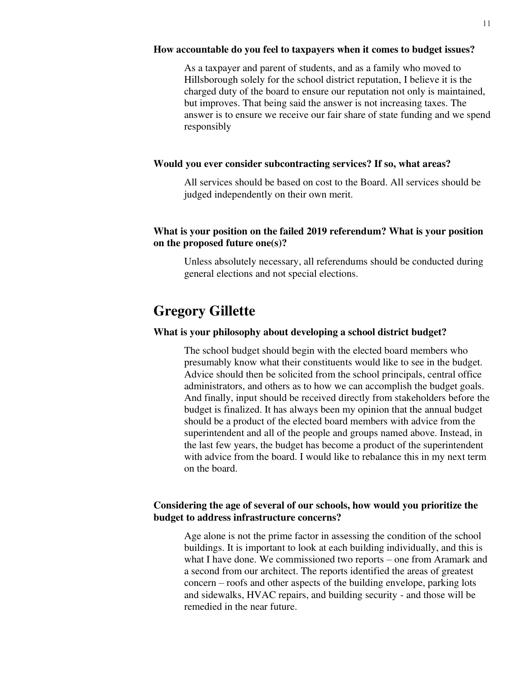#### **How accountable do you feel to taxpayers when it comes to budget issues?**

As a taxpayer and parent of students, and as a family who moved to Hillsborough solely for the school district reputation, I believe it is the charged duty of the board to ensure our reputation not only is maintained, but improves. That being said the answer is not increasing taxes. The answer is to ensure we receive our fair share of state funding and we spend responsibly

#### **Would you ever consider subcontracting services? If so, what areas?**

All services should be based on cost to the Board. All services should be judged independently on their own merit.

#### **What is your position on the failed 2019 referendum? What is your position on the proposed future one(s)?**

Unless absolutely necessary, all referendums should be conducted during general elections and not special elections.

### **Gregory Gillette**

#### **What is your philosophy about developing a school district budget?**

The school budget should begin with the elected board members who presumably know what their constituents would like to see in the budget. Advice should then be solicited from the school principals, central office administrators, and others as to how we can accomplish the budget goals. And finally, input should be received directly from stakeholders before the budget is finalized. It has always been my opinion that the annual budget should be a product of the elected board members with advice from the superintendent and all of the people and groups named above. Instead, in the last few years, the budget has become a product of the superintendent with advice from the board. I would like to rebalance this in my next term on the board.

#### **Considering the age of several of our schools, how would you prioritize the budget to address infrastructure concerns?**

Age alone is not the prime factor in assessing the condition of the school buildings. It is important to look at each building individually, and this is what I have done. We commissioned two reports – one from Aramark and a second from our architect. The reports identified the areas of greatest concern – roofs and other aspects of the building envelope, parking lots and sidewalks, HVAC repairs, and building security - and those will be remedied in the near future.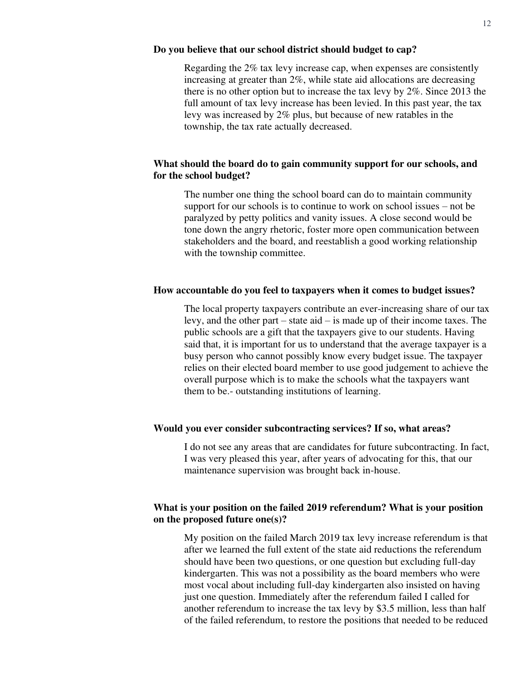#### **Do you believe that our school district should budget to cap?**

Regarding the 2% tax levy increase cap, when expenses are consistently increasing at greater than 2%, while state aid allocations are decreasing there is no other option but to increase the tax levy by 2%. Since 2013 the full amount of tax levy increase has been levied. In this past year, the tax levy was increased by 2% plus, but because of new ratables in the township, the tax rate actually decreased.

#### **What should the board do to gain community support for our schools, and for the school budget?**

The number one thing the school board can do to maintain community support for our schools is to continue to work on school issues – not be paralyzed by petty politics and vanity issues. A close second would be tone down the angry rhetoric, foster more open communication between stakeholders and the board, and reestablish a good working relationship with the township committee.

#### **How accountable do you feel to taxpayers when it comes to budget issues?**

The local property taxpayers contribute an ever-increasing share of our tax levy, and the other part – state aid – is made up of their income taxes. The public schools are a gift that the taxpayers give to our students. Having said that, it is important for us to understand that the average taxpayer is a busy person who cannot possibly know every budget issue. The taxpayer relies on their elected board member to use good judgement to achieve the overall purpose which is to make the schools what the taxpayers want them to be.- outstanding institutions of learning.

#### **Would you ever consider subcontracting services? If so, what areas?**

I do not see any areas that are candidates for future subcontracting. In fact, I was very pleased this year, after years of advocating for this, that our maintenance supervision was brought back in-house.

#### **What is your position on the failed 2019 referendum? What is your position on the proposed future one(s)?**

My position on the failed March 2019 tax levy increase referendum is that after we learned the full extent of the state aid reductions the referendum should have been two questions, or one question but excluding full-day kindergarten. This was not a possibility as the board members who were most vocal about including full-day kindergarten also insisted on having just one question. Immediately after the referendum failed I called for another referendum to increase the tax levy by \$3.5 million, less than half of the failed referendum, to restore the positions that needed to be reduced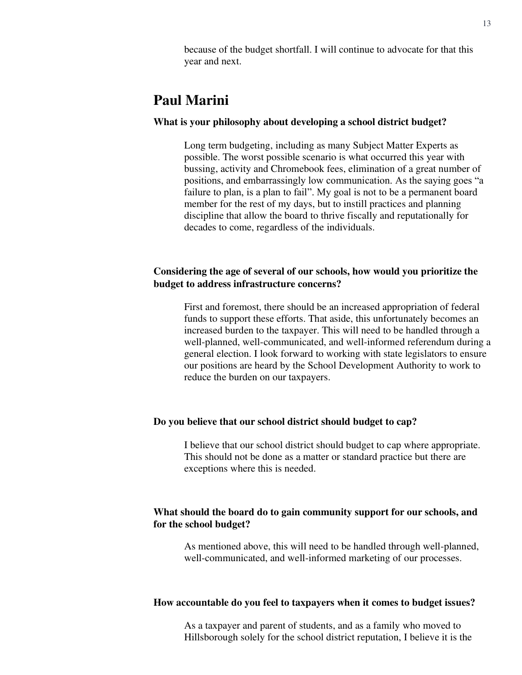because of the budget shortfall. I will continue to advocate for that this year and next.

### **Paul Marini**

#### **What is your philosophy about developing a school district budget?**

Long term budgeting, including as many Subject Matter Experts as possible. The worst possible scenario is what occurred this year with bussing, activity and Chromebook fees, elimination of a great number of positions, and embarrassingly low communication. As the saying goes "a failure to plan, is a plan to fail". My goal is not to be a permanent board member for the rest of my days, but to instill practices and planning discipline that allow the board to thrive fiscally and reputationally for decades to come, regardless of the individuals.

#### **Considering the age of several of our schools, how would you prioritize the budget to address infrastructure concerns?**

First and foremost, there should be an increased appropriation of federal funds to support these efforts. That aside, this unfortunately becomes an increased burden to the taxpayer. This will need to be handled through a well-planned, well-communicated, and well-informed referendum during a general election. I look forward to working with state legislators to ensure our positions are heard by the School Development Authority to work to reduce the burden on our taxpayers.

#### **Do you believe that our school district should budget to cap?**

I believe that our school district should budget to cap where appropriate. This should not be done as a matter or standard practice but there are exceptions where this is needed.

#### **What should the board do to gain community support for our schools, and for the school budget?**

As mentioned above, this will need to be handled through well-planned, well-communicated, and well-informed marketing of our processes.

#### **How accountable do you feel to taxpayers when it comes to budget issues?**

As a taxpayer and parent of students, and as a family who moved to Hillsborough solely for the school district reputation, I believe it is the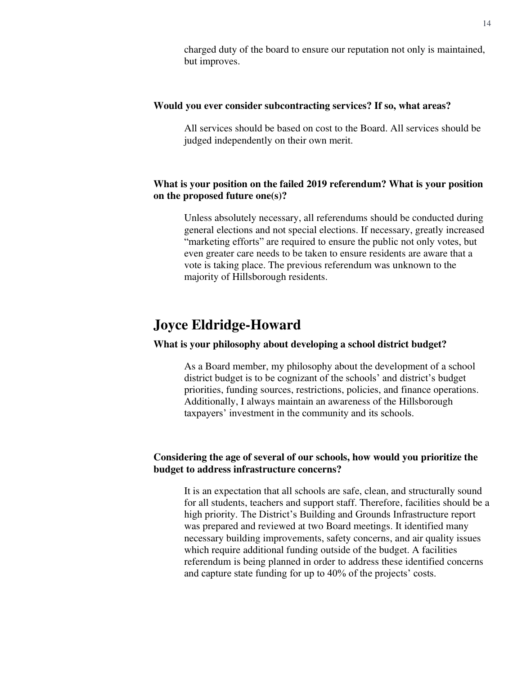charged duty of the board to ensure our reputation not only is maintained, but improves.

#### **Would you ever consider subcontracting services? If so, what areas?**

All services should be based on cost to the Board. All services should be judged independently on their own merit.

#### **What is your position on the failed 2019 referendum? What is your position on the proposed future one(s)?**

Unless absolutely necessary, all referendums should be conducted during general elections and not special elections. If necessary, greatly increased "marketing efforts" are required to ensure the public not only votes, but even greater care needs to be taken to ensure residents are aware that a vote is taking place. The previous referendum was unknown to the majority of Hillsborough residents.

### **Joyce Eldridge-Howard**

#### **What is your philosophy about developing a school district budget?**

As a Board member, my philosophy about the development of a school district budget is to be cognizant of the schools' and district's budget priorities, funding sources, restrictions, policies, and finance operations. Additionally, I always maintain an awareness of the Hillsborough taxpayers' investment in the community and its schools.

#### **Considering the age of several of our schools, how would you prioritize the budget to address infrastructure concerns?**

It is an expectation that all schools are safe, clean, and structurally sound for all students, teachers and support staff. Therefore, facilities should be a high priority. The District's Building and Grounds Infrastructure report was prepared and reviewed at two Board meetings. It identified many necessary building improvements, safety concerns, and air quality issues which require additional funding outside of the budget. A facilities referendum is being planned in order to address these identified concerns and capture state funding for up to 40% of the projects' costs.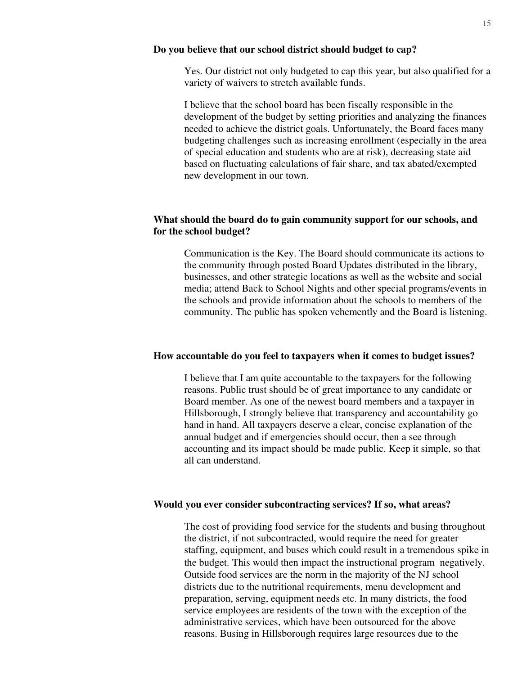#### **Do you believe that our school district should budget to cap?**

Yes. Our district not only budgeted to cap this year, but also qualified for a variety of waivers to stretch available funds.

I believe that the school board has been fiscally responsible in the development of the budget by setting priorities and analyzing the finances needed to achieve the district goals. Unfortunately, the Board faces many budgeting challenges such as increasing enrollment (especially in the area of special education and students who are at risk), decreasing state aid based on fluctuating calculations of fair share, and tax abated/exempted new development in our town.

#### **What should the board do to gain community support for our schools, and for the school budget?**

Communication is the Key. The Board should communicate its actions to the community through posted Board Updates distributed in the library, businesses, and other strategic locations as well as the website and social media; attend Back to School Nights and other special programs/events in the schools and provide information about the schools to members of the community. The public has spoken vehemently and the Board is listening.

#### **How accountable do you feel to taxpayers when it comes to budget issues?**

I believe that I am quite accountable to the taxpayers for the following reasons. Public trust should be of great importance to any candidate or Board member. As one of the newest board members and a taxpayer in Hillsborough, I strongly believe that transparency and accountability go hand in hand. All taxpayers deserve a clear, concise explanation of the annual budget and if emergencies should occur, then a see through accounting and its impact should be made public. Keep it simple, so that all can understand.

#### **Would you ever consider subcontracting services? If so, what areas?**

The cost of providing food service for the students and busing throughout the district, if not subcontracted, would require the need for greater staffing, equipment, and buses which could result in a tremendous spike in the budget. This would then impact the instructional program negatively. Outside food services are the norm in the majority of the NJ school districts due to the nutritional requirements, menu development and preparation, serving, equipment needs etc. In many districts, the food service employees are residents of the town with the exception of the administrative services, which have been outsourced for the above reasons. Busing in Hillsborough requires large resources due to the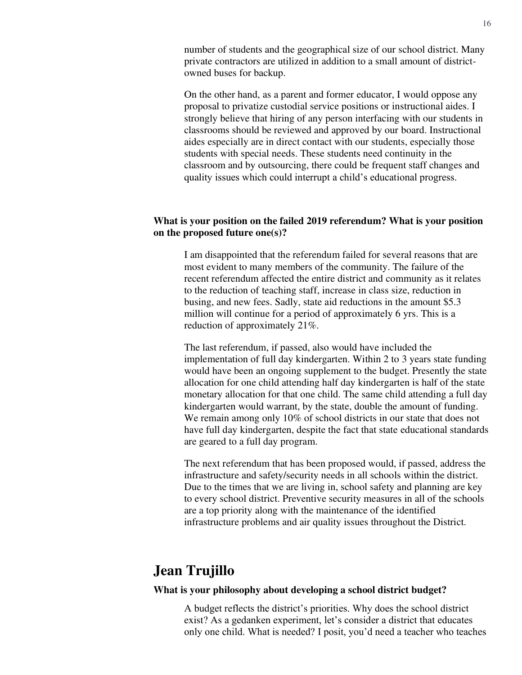number of students and the geographical size of our school district. Many private contractors are utilized in addition to a small amount of districtowned buses for backup.

On the other hand, as a parent and former educator, I would oppose any proposal to privatize custodial service positions or instructional aides. I strongly believe that hiring of any person interfacing with our students in classrooms should be reviewed and approved by our board. Instructional aides especially are in direct contact with our students, especially those students with special needs. These students need continuity in the classroom and by outsourcing, there could be frequent staff changes and quality issues which could interrupt a child's educational progress.

#### **What is your position on the failed 2019 referendum? What is your position on the proposed future one(s)?**

I am disappointed that the referendum failed for several reasons that are most evident to many members of the community. The failure of the recent referendum affected the entire district and community as it relates to the reduction of teaching staff, increase in class size, reduction in busing, and new fees. Sadly, state aid reductions in the amount \$5.3 million will continue for a period of approximately 6 yrs. This is a reduction of approximately 21%.

The last referendum, if passed, also would have included the implementation of full day kindergarten. Within 2 to 3 years state funding would have been an ongoing supplement to the budget. Presently the state allocation for one child attending half day kindergarten is half of the state monetary allocation for that one child. The same child attending a full day kindergarten would warrant, by the state, double the amount of funding. We remain among only 10% of school districts in our state that does not have full day kindergarten, despite the fact that state educational standards are geared to a full day program.

The next referendum that has been proposed would, if passed, address the infrastructure and safety/security needs in all schools within the district. Due to the times that we are living in, school safety and planning are key to every school district. Preventive security measures in all of the schools are a top priority along with the maintenance of the identified infrastructure problems and air quality issues throughout the District.

### **Jean Trujillo**

#### **What is your philosophy about developing a school district budget?**

A budget reflects the district's priorities. Why does the school district exist? As a gedanken experiment, let's consider a district that educates only one child. What is needed? I posit, you'd need a teacher who teaches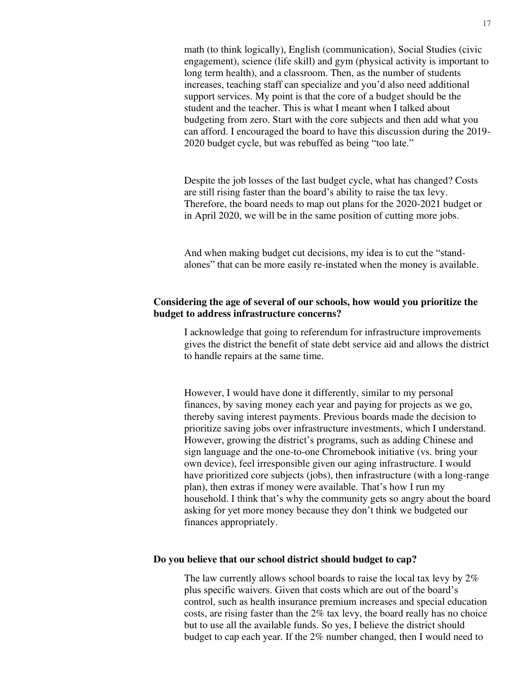math (to think logically), English (communication), Social Studies (civic engagement), science (life skill) and gym (physical activity is important to long term health), and a classroom. Then, as the number of students increases, teaching staff can specialize and you'd also need additional support services. My point is that the core of a budget should be the student and the teacher. This is what I meant when I talked about budgeting from zero. Start with the core subjects and then add what you can afford. I encouraged the board to have this discussion during the 2019- 2020 budget cycle, but was rebuffed as being "too late."

Despite the job losses of the last budget cycle, what has changed? Costs are still rising faster than the board's ability to raise the tax levy. Therefore, the board needs to map out plans for the 2020-2021 budget or in April 2020, we will be in the same position of cutting more jobs.

And when making budget cut decisions, my idea is to cut the "standalones" that can be more easily re-instated when the money is available.

#### **Considering the age of several of our schools, how would you prioritize the budget to address infrastructure concerns?**

I acknowledge that going to referendum for infrastructure improvements gives the district the benefit of state debt service aid and allows the district to handle repairs at the same time.

However, I would have done it differently, similar to my personal finances, by saving money each year and paying for projects as we go, thereby saving interest payments. Previous boards made the decision to prioritize saving jobs over infrastructure investments, which I understand. However, growing the district's programs, such as adding Chinese and sign language and the one-to-one Chromebook initiative (vs. bring your own device), feel irresponsible given our aging infrastructure. I would have prioritized core subjects (jobs), then infrastructure (with a long-range plan), then extras if money were available. That's how I run my household. I think that's why the community gets so angry about the board asking for yet more money because they don't think we budgeted our finances appropriately.

#### **Do you believe that our school district should budget to cap?**

The law currently allows school boards to raise the local tax levy by 2% plus specific waivers. Given that costs which are out of the board's control, such as health insurance premium increases and special education costs, are rising faster than the 2% tax levy, the board really has no choice but to use all the available funds. So yes, I believe the district should budget to cap each year. If the 2% number changed, then I would need to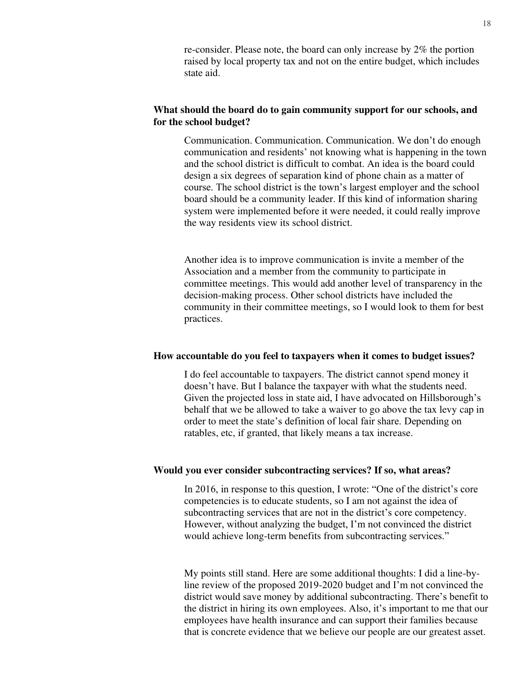re-consider. Please note, the board can only increase by 2% the portion raised by local property tax and not on the entire budget, which includes state aid.

#### **What should the board do to gain community support for our schools, and for the school budget?**

Communication. Communication. Communication. We don't do enough communication and residents' not knowing what is happening in the town and the school district is difficult to combat. An idea is the board could design a six degrees of separation kind of phone chain as a matter of course. The school district is the town's largest employer and the school board should be a community leader. If this kind of information sharing system were implemented before it were needed, it could really improve the way residents view its school district.

Another idea is to improve communication is invite a member of the Association and a member from the community to participate in committee meetings. This would add another level of transparency in the decision-making process. Other school districts have included the community in their committee meetings, so I would look to them for best practices.

#### **How accountable do you feel to taxpayers when it comes to budget issues?**

I do feel accountable to taxpayers. The district cannot spend money it doesn't have. But I balance the taxpayer with what the students need. Given the projected loss in state aid, I have advocated on Hillsborough's behalf that we be allowed to take a waiver to go above the tax levy cap in order to meet the state's definition of local fair share. Depending on ratables, etc, if granted, that likely means a tax increase.

#### **Would you ever consider subcontracting services? If so, what areas?**

In 2016, in response to this question, I wrote: "One of the district's core competencies is to educate students, so I am not against the idea of subcontracting services that are not in the district's core competency. However, without analyzing the budget, I'm not convinced the district would achieve long-term benefits from subcontracting services."

My points still stand. Here are some additional thoughts: I did a line-byline review of the proposed 2019-2020 budget and I'm not convinced the district would save money by additional subcontracting. There's benefit to the district in hiring its own employees. Also, it's important to me that our employees have health insurance and can support their families because that is concrete evidence that we believe our people are our greatest asset.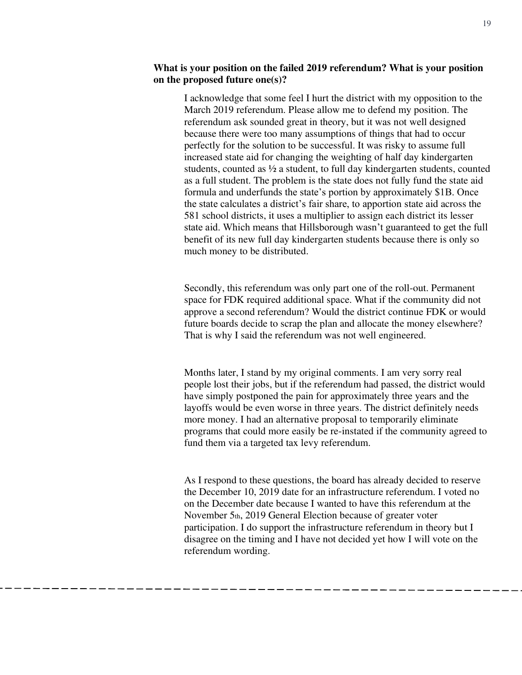#### **What is your position on the failed 2019 referendum? What is your position on the proposed future one(s)?**

I acknowledge that some feel I hurt the district with my opposition to the March 2019 referendum. Please allow me to defend my position. The referendum ask sounded great in theory, but it was not well designed because there were too many assumptions of things that had to occur perfectly for the solution to be successful. It was risky to assume full increased state aid for changing the weighting of half day kindergarten students, counted as ½ a student, to full day kindergarten students, counted as a full student. The problem is the state does not fully fund the state aid formula and underfunds the state's portion by approximately \$1B. Once the state calculates a district's fair share, to apportion state aid across the 581 school districts, it uses a multiplier to assign each district its lesser state aid. Which means that Hillsborough wasn't guaranteed to get the full benefit of its new full day kindergarten students because there is only so much money to be distributed.

Secondly, this referendum was only part one of the roll-out. Permanent space for FDK required additional space. What if the community did not approve a second referendum? Would the district continue FDK or would future boards decide to scrap the plan and allocate the money elsewhere? That is why I said the referendum was not well engineered.

Months later, I stand by my original comments. I am very sorry real people lost their jobs, but if the referendum had passed, the district would have simply postponed the pain for approximately three years and the layoffs would be even worse in three years. The district definitely needs more money. I had an alternative proposal to temporarily eliminate programs that could more easily be re-instated if the community agreed to fund them via a targeted tax levy referendum.

As I respond to these questions, the board has already decided to reserve the December 10, 2019 date for an infrastructure referendum. I voted no on the December date because I wanted to have this referendum at the November 5th, 2019 General Election because of greater voter participation. I do support the infrastructure referendum in theory but I disagree on the timing and I have not decided yet how I will vote on the referendum wording.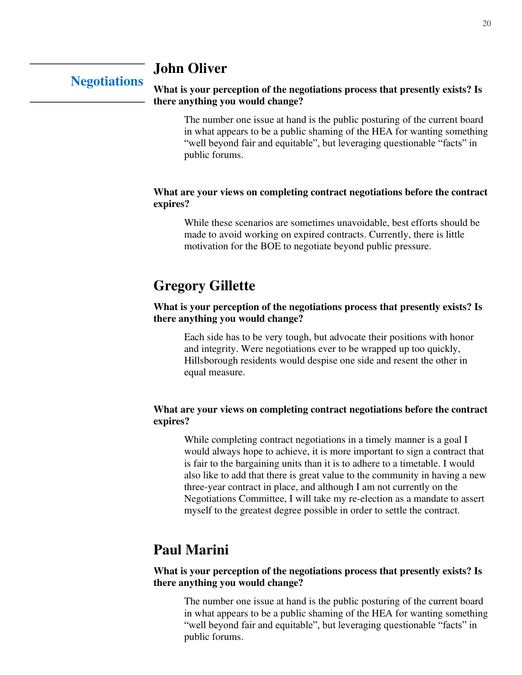### **John Oliver**

### **Negotiations**

#### **What is your perception of the negotiations process that presently exists? Is there anything you would change?**

The number one issue at hand is the public posturing of the current board in what appears to be a public shaming of the HEA for wanting something "well beyond fair and equitable", but leveraging questionable "facts" in public forums.

#### **What are your views on completing contract negotiations before the contract expires?**

While these scenarios are sometimes unavoidable, best efforts should be made to avoid working on expired contracts. Currently, there is little motivation for the BOE to negotiate beyond public pressure.

### **Gregory Gillette**

#### **What is your perception of the negotiations process that presently exists? Is there anything you would change?**

Each side has to be very tough, but advocate their positions with honor and integrity. Were negotiations ever to be wrapped up too quickly, Hillsborough residents would despise one side and resent the other in equal measure.

#### **What are your views on completing contract negotiations before the contract expires?**

While completing contract negotiations in a timely manner is a goal I would always hope to achieve, it is more important to sign a contract that is fair to the bargaining units than it is to adhere to a timetable. I would also like to add that there is great value to the community in having a new three-year contract in place, and although I am not currently on the Negotiations Committee, I will take my re-election as a mandate to assert myself to the greatest degree possible in order to settle the contract.

### **Paul Marini**

#### **What is your perception of the negotiations process that presently exists? Is there anything you would change?**

The number one issue at hand is the public posturing of the current board in what appears to be a public shaming of the HEA for wanting something "well beyond fair and equitable", but leveraging questionable "facts" in public forums.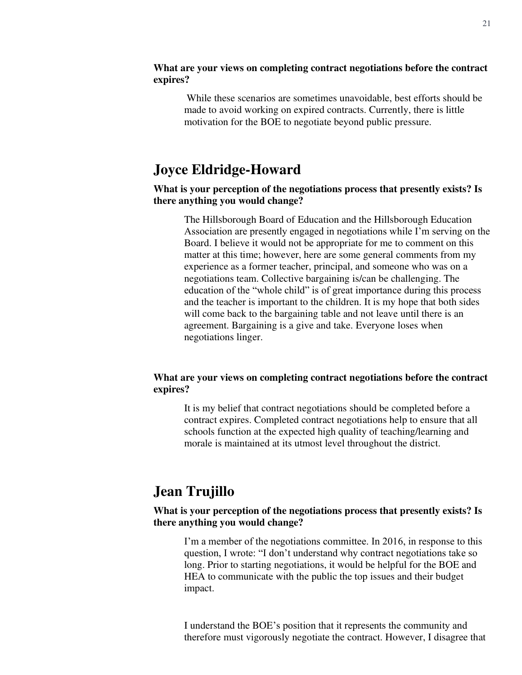#### **What are your views on completing contract negotiations before the contract expires?**

 While these scenarios are sometimes unavoidable, best efforts should be made to avoid working on expired contracts. Currently, there is little motivation for the BOE to negotiate beyond public pressure.

### **Joyce Eldridge-Howard**

#### **What is your perception of the negotiations process that presently exists? Is there anything you would change?**

The Hillsborough Board of Education and the Hillsborough Education Association are presently engaged in negotiations while I'm serving on the Board. I believe it would not be appropriate for me to comment on this matter at this time; however, here are some general comments from my experience as a former teacher, principal, and someone who was on a negotiations team. Collective bargaining is/can be challenging. The education of the "whole child" is of great importance during this process and the teacher is important to the children. It is my hope that both sides will come back to the bargaining table and not leave until there is an agreement. Bargaining is a give and take. Everyone loses when negotiations linger.

#### **What are your views on completing contract negotiations before the contract expires?**

It is my belief that contract negotiations should be completed before a contract expires. Completed contract negotiations help to ensure that all schools function at the expected high quality of teaching/learning and morale is maintained at its utmost level throughout the district.

### **Jean Trujillo**

#### **What is your perception of the negotiations process that presently exists? Is there anything you would change?**

I'm a member of the negotiations committee. In 2016, in response to this question, I wrote: "I don't understand why contract negotiations take so long. Prior to starting negotiations, it would be helpful for the BOE and HEA to communicate with the public the top issues and their budget impact.

I understand the BOE's position that it represents the community and therefore must vigorously negotiate the contract. However, I disagree that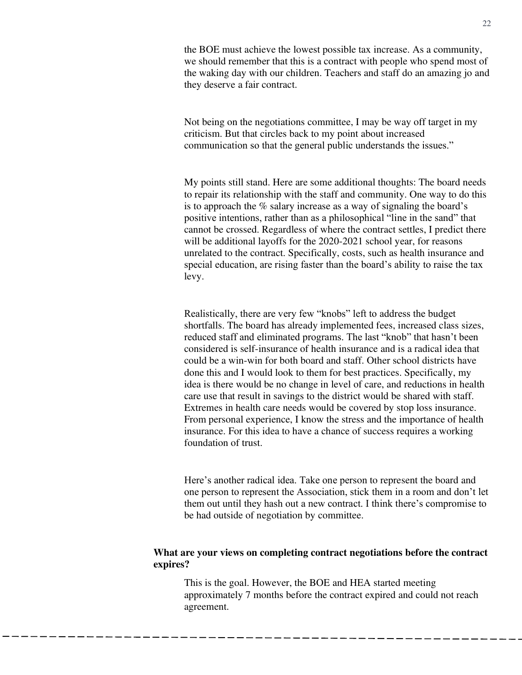the BOE must achieve the lowest possible tax increase. As a community, we should remember that this is a contract with people who spend most of the waking day with our children. Teachers and staff do an amazing jo and they deserve a fair contract.

Not being on the negotiations committee, I may be way off target in my criticism. But that circles back to my point about increased communication so that the general public understands the issues."

My points still stand. Here are some additional thoughts: The board needs to repair its relationship with the staff and community. One way to do this is to approach the % salary increase as a way of signaling the board's positive intentions, rather than as a philosophical "line in the sand" that cannot be crossed. Regardless of where the contract settles, I predict there will be additional layoffs for the 2020-2021 school year, for reasons unrelated to the contract. Specifically, costs, such as health insurance and special education, are rising faster than the board's ability to raise the tax levy.

Realistically, there are very few "knobs" left to address the budget shortfalls. The board has already implemented fees, increased class sizes, reduced staff and eliminated programs. The last "knob" that hasn't been considered is self-insurance of health insurance and is a radical idea that could be a win-win for both board and staff. Other school districts have done this and I would look to them for best practices. Specifically, my idea is there would be no change in level of care, and reductions in health care use that result in savings to the district would be shared with staff. Extremes in health care needs would be covered by stop loss insurance. From personal experience, I know the stress and the importance of health insurance. For this idea to have a chance of success requires a working foundation of trust.

Here's another radical idea. Take one person to represent the board and one person to represent the Association, stick them in a room and don't let them out until they hash out a new contract. I think there's compromise to be had outside of negotiation by committee.

#### **What are your views on completing contract negotiations before the contract expires?**

This is the goal. However, the BOE and HEA started meeting approximately 7 months before the contract expired and could not reach agreement.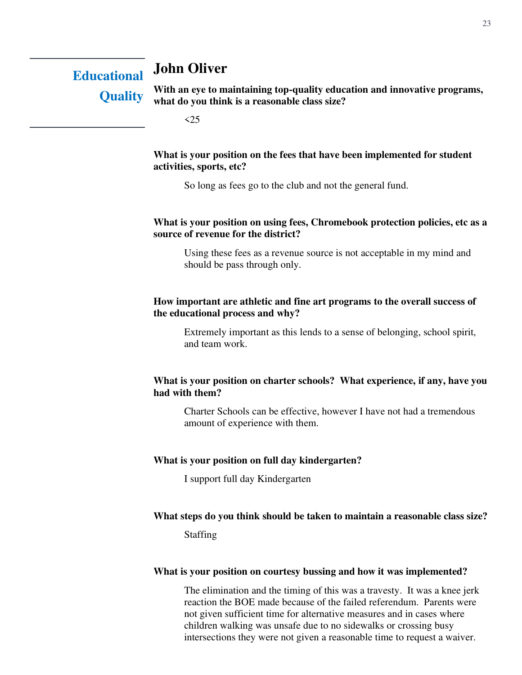### **John Oliver**

**Educational Quality** 

**With an eye to maintaining top-quality education and innovative programs, what do you think is a reasonable class size?** 

 $\leq$  25

#### **What is your position on the fees that have been implemented for student activities, sports, etc?**

So long as fees go to the club and not the general fund.

#### **What is your position on using fees, Chromebook protection policies, etc as a source of revenue for the district?**

Using these fees as a revenue source is not acceptable in my mind and should be pass through only.

#### **How important are athletic and fine art programs to the overall success of the educational process and why?**

Extremely important as this lends to a sense of belonging, school spirit, and team work.

#### **What is your position on charter schools? What experience, if any, have you had with them?**

Charter Schools can be effective, however I have not had a tremendous amount of experience with them.

#### **What is your position on full day kindergarten?**

I support full day Kindergarten

#### **What steps do you think should be taken to maintain a reasonable class size?**

Staffing

#### **What is your position on courtesy bussing and how it was implemented?**

The elimination and the timing of this was a travesty. It was a knee jerk reaction the BOE made because of the failed referendum. Parents were not given sufficient time for alternative measures and in cases where children walking was unsafe due to no sidewalks or crossing busy intersections they were not given a reasonable time to request a waiver.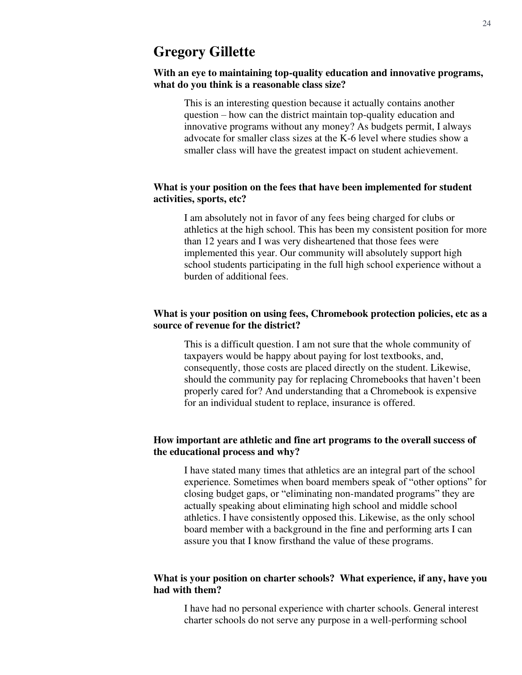#### **With an eye to maintaining top-quality education and innovative programs, what do you think is a reasonable class size?**

This is an interesting question because it actually contains another question – how can the district maintain top-quality education and innovative programs without any money? As budgets permit, I always advocate for smaller class sizes at the K-6 level where studies show a smaller class will have the greatest impact on student achievement.

#### **What is your position on the fees that have been implemented for student activities, sports, etc?**

I am absolutely not in favor of any fees being charged for clubs or athletics at the high school. This has been my consistent position for more than 12 years and I was very disheartened that those fees were implemented this year. Our community will absolutely support high school students participating in the full high school experience without a burden of additional fees.

#### **What is your position on using fees, Chromebook protection policies, etc as a source of revenue for the district?**

This is a difficult question. I am not sure that the whole community of taxpayers would be happy about paying for lost textbooks, and, consequently, those costs are placed directly on the student. Likewise, should the community pay for replacing Chromebooks that haven't been properly cared for? And understanding that a Chromebook is expensive for an individual student to replace, insurance is offered.

#### **How important are athletic and fine art programs to the overall success of the educational process and why?**

I have stated many times that athletics are an integral part of the school experience. Sometimes when board members speak of "other options" for closing budget gaps, or "eliminating non-mandated programs" they are actually speaking about eliminating high school and middle school athletics. I have consistently opposed this. Likewise, as the only school board member with a background in the fine and performing arts I can assure you that I know firsthand the value of these programs.

#### **What is your position on charter schools? What experience, if any, have you had with them?**

I have had no personal experience with charter schools. General interest charter schools do not serve any purpose in a well-performing school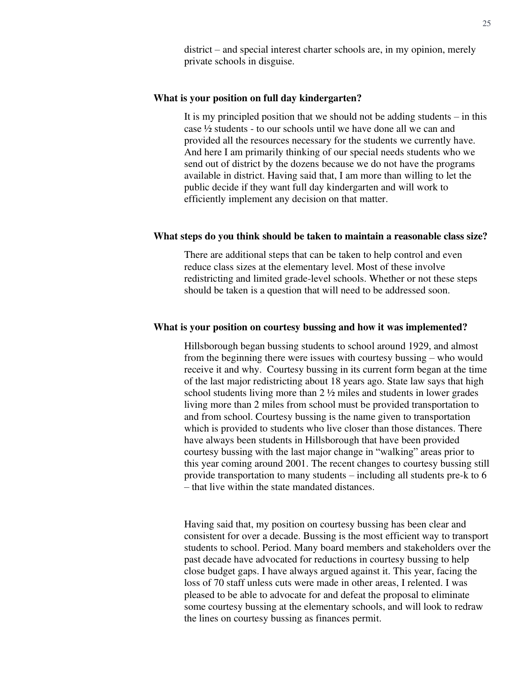district – and special interest charter schools are, in my opinion, merely private schools in disguise.

#### **What is your position on full day kindergarten?**

It is my principled position that we should not be adding students – in this case ½ students - to our schools until we have done all we can and provided all the resources necessary for the students we currently have. And here I am primarily thinking of our special needs students who we send out of district by the dozens because we do not have the programs available in district. Having said that, I am more than willing to let the public decide if they want full day kindergarten and will work to efficiently implement any decision on that matter.

#### **What steps do you think should be taken to maintain a reasonable class size?**

There are additional steps that can be taken to help control and even reduce class sizes at the elementary level. Most of these involve redistricting and limited grade-level schools. Whether or not these steps should be taken is a question that will need to be addressed soon.

#### **What is your position on courtesy bussing and how it was implemented?**

Hillsborough began bussing students to school around 1929, and almost from the beginning there were issues with courtesy bussing – who would receive it and why. Courtesy bussing in its current form began at the time of the last major redistricting about 18 years ago. State law says that high school students living more than 2 ½ miles and students in lower grades living more than 2 miles from school must be provided transportation to and from school. Courtesy bussing is the name given to transportation which is provided to students who live closer than those distances. There have always been students in Hillsborough that have been provided courtesy bussing with the last major change in "walking" areas prior to this year coming around 2001. The recent changes to courtesy bussing still provide transportation to many students – including all students pre-k to 6 – that live within the state mandated distances.

Having said that, my position on courtesy bussing has been clear and consistent for over a decade. Bussing is the most efficient way to transport students to school. Period. Many board members and stakeholders over the past decade have advocated for reductions in courtesy bussing to help close budget gaps. I have always argued against it. This year, facing the loss of 70 staff unless cuts were made in other areas, I relented. I was pleased to be able to advocate for and defeat the proposal to eliminate some courtesy bussing at the elementary schools, and will look to redraw the lines on courtesy bussing as finances permit.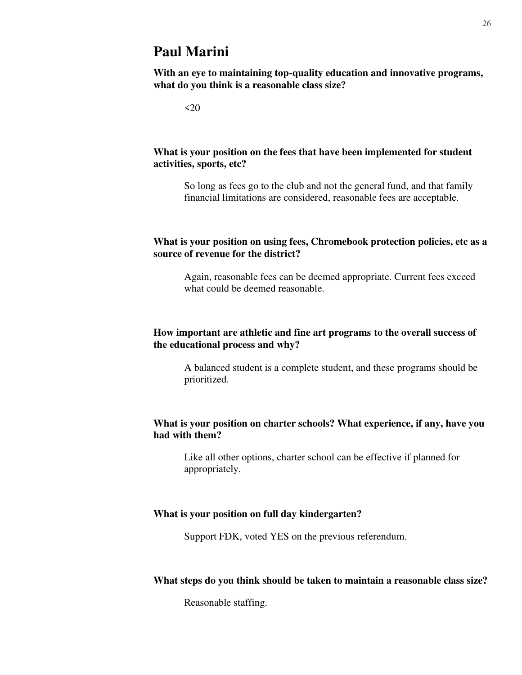### **Paul Marini**

**With an eye to maintaining top-quality education and innovative programs, what do you think is a reasonable class size?**

 $<20$ 

#### **What is your position on the fees that have been implemented for student activities, sports, etc?**

So long as fees go to the club and not the general fund, and that family financial limitations are considered, reasonable fees are acceptable.

#### **What is your position on using fees, Chromebook protection policies, etc as a source of revenue for the district?**

Again, reasonable fees can be deemed appropriate. Current fees exceed what could be deemed reasonable.

#### **How important are athletic and fine art programs to the overall success of the educational process and why?**

A balanced student is a complete student, and these programs should be prioritized.

#### **What is your position on charter schools? What experience, if any, have you had with them?**

Like all other options, charter school can be effective if planned for appropriately.

#### **What is your position on full day kindergarten?**

Support FDK, voted YES on the previous referendum.

#### **What steps do you think should be taken to maintain a reasonable class size?**

Reasonable staffing.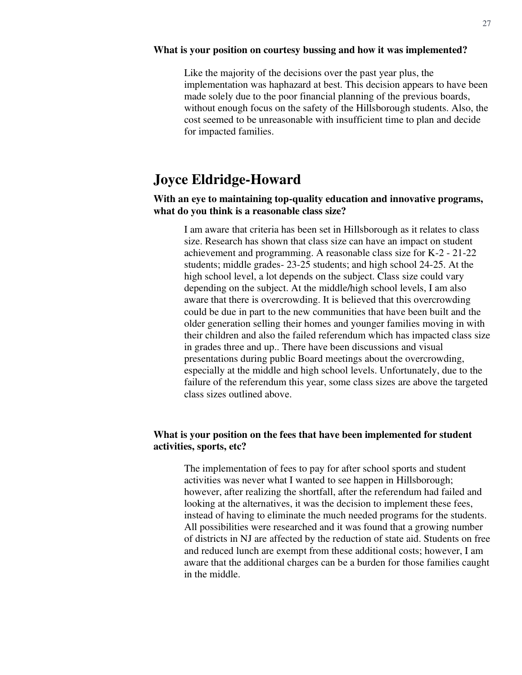#### **What is your position on courtesy bussing and how it was implemented?**

Like the majority of the decisions over the past year plus, the implementation was haphazard at best. This decision appears to have been made solely due to the poor financial planning of the previous boards, without enough focus on the safety of the Hillsborough students. Also, the cost seemed to be unreasonable with insufficient time to plan and decide for impacted families.

### **Joyce Eldridge-Howard**

#### **With an eye to maintaining top-quality education and innovative programs, what do you think is a reasonable class size?**

I am aware that criteria has been set in Hillsborough as it relates to class size. Research has shown that class size can have an impact on student achievement and programming. A reasonable class size for K-2 - 21-22 students; middle grades- 23-25 students; and high school 24-25. At the high school level, a lot depends on the subject. Class size could vary depending on the subject. At the middle/high school levels, I am also aware that there is overcrowding. It is believed that this overcrowding could be due in part to the new communities that have been built and the older generation selling their homes and younger families moving in with their children and also the failed referendum which has impacted class size in grades three and up.. There have been discussions and visual presentations during public Board meetings about the overcrowding, especially at the middle and high school levels. Unfortunately, due to the failure of the referendum this year, some class sizes are above the targeted class sizes outlined above.

#### **What is your position on the fees that have been implemented for student activities, sports, etc?**

The implementation of fees to pay for after school sports and student activities was never what I wanted to see happen in Hillsborough; however, after realizing the shortfall, after the referendum had failed and looking at the alternatives, it was the decision to implement these fees, instead of having to eliminate the much needed programs for the students. All possibilities were researched and it was found that a growing number of districts in NJ are affected by the reduction of state aid. Students on free and reduced lunch are exempt from these additional costs; however, I am aware that the additional charges can be a burden for those families caught in the middle.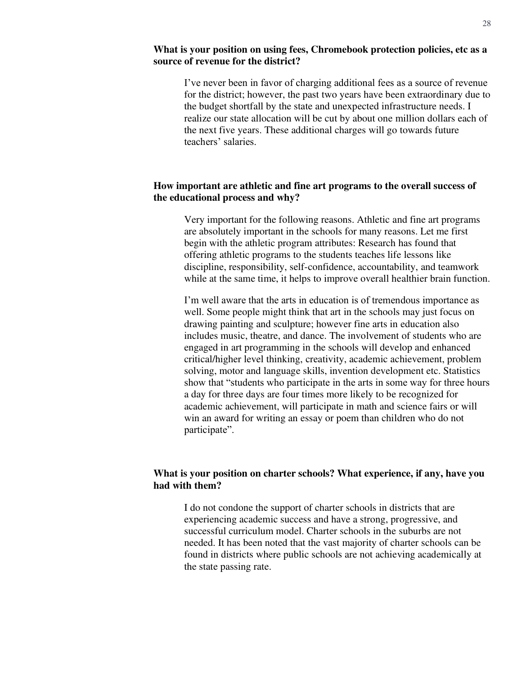#### **What is your position on using fees, Chromebook protection policies, etc as a source of revenue for the district?**

I've never been in favor of charging additional fees as a source of revenue for the district; however, the past two years have been extraordinary due to the budget shortfall by the state and unexpected infrastructure needs. I realize our state allocation will be cut by about one million dollars each of the next five years. These additional charges will go towards future teachers' salaries.

#### **How important are athletic and fine art programs to the overall success of the educational process and why?**

Very important for the following reasons. Athletic and fine art programs are absolutely important in the schools for many reasons. Let me first begin with the athletic program attributes: Research has found that offering athletic programs to the students teaches life lessons like discipline, responsibility, self-confidence, accountability, and teamwork while at the same time, it helps to improve overall healthier brain function.

I'm well aware that the arts in education is of tremendous importance as well. Some people might think that art in the schools may just focus on drawing painting and sculpture; however fine arts in education also includes music, theatre, and dance. The involvement of students who are engaged in art programming in the schools will develop and enhanced critical/higher level thinking, creativity, academic achievement, problem solving, motor and language skills, invention development etc. Statistics show that "students who participate in the arts in some way for three hours a day for three days are four times more likely to be recognized for academic achievement, will participate in math and science fairs or will win an award for writing an essay or poem than children who do not participate".

#### **What is your position on charter schools? What experience, if any, have you had with them?**

I do not condone the support of charter schools in districts that are experiencing academic success and have a strong, progressive, and successful curriculum model. Charter schools in the suburbs are not needed. It has been noted that the vast majority of charter schools can be found in districts where public schools are not achieving academically at the state passing rate.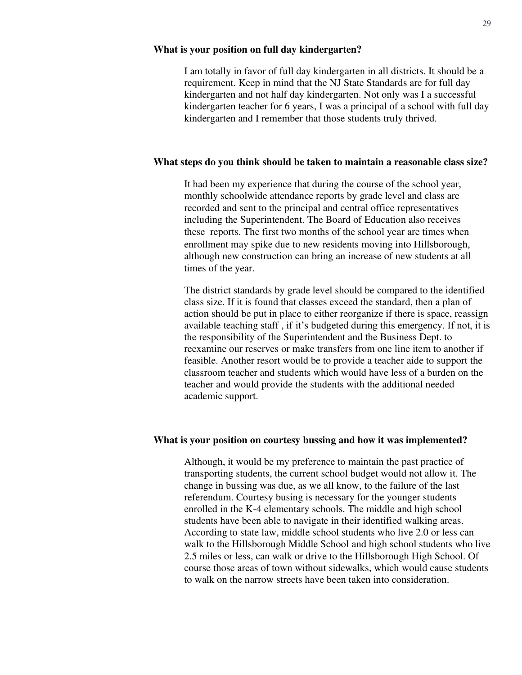#### **What is your position on full day kindergarten?**

I am totally in favor of full day kindergarten in all districts. It should be a requirement. Keep in mind that the NJ State Standards are for full day kindergarten and not half day kindergarten. Not only was I a successful kindergarten teacher for 6 years, I was a principal of a school with full day kindergarten and I remember that those students truly thrived.

#### **What steps do you think should be taken to maintain a reasonable class size?**

It had been my experience that during the course of the school year, monthly schoolwide attendance reports by grade level and class are recorded and sent to the principal and central office representatives including the Superintendent. The Board of Education also receives these reports. The first two months of the school year are times when enrollment may spike due to new residents moving into Hillsborough, although new construction can bring an increase of new students at all times of the year.

The district standards by grade level should be compared to the identified class size. If it is found that classes exceed the standard, then a plan of action should be put in place to either reorganize if there is space, reassign available teaching staff , if it's budgeted during this emergency. If not, it is the responsibility of the Superintendent and the Business Dept. to reexamine our reserves or make transfers from one line item to another if feasible. Another resort would be to provide a teacher aide to support the classroom teacher and students which would have less of a burden on the teacher and would provide the students with the additional needed academic support.

#### **What is your position on courtesy bussing and how it was implemented?**

Although, it would be my preference to maintain the past practice of transporting students, the current school budget would not allow it. The change in bussing was due, as we all know, to the failure of the last referendum. Courtesy busing is necessary for the younger students enrolled in the K-4 elementary schools. The middle and high school students have been able to navigate in their identified walking areas. According to state law, middle school students who live 2.0 or less can walk to the Hillsborough Middle School and high school students who live 2.5 miles or less, can walk or drive to the Hillsborough High School. Of course those areas of town without sidewalks, which would cause students to walk on the narrow streets have been taken into consideration.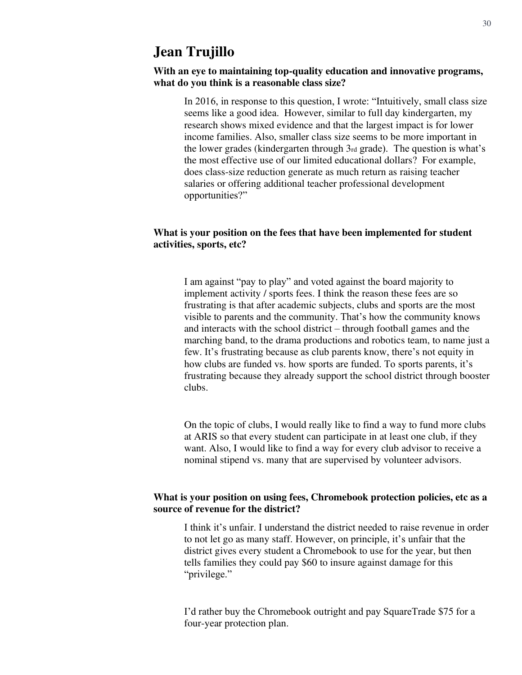### **Jean Trujillo**

#### **With an eye to maintaining top-quality education and innovative programs, what do you think is a reasonable class size?**

In 2016, in response to this question, I wrote: "Intuitively, small class size seems like a good idea. However, similar to full day kindergarten, my research shows mixed evidence and that the largest impact is for lower income families. Also, smaller class size seems to be more important in the lower grades (kindergarten through 3rd grade). The question is what's the most effective use of our limited educational dollars? For example, does class-size reduction generate as much return as raising teacher salaries or offering additional teacher professional development opportunities?"

#### **What is your position on the fees that have been implemented for student activities, sports, etc?**

I am against "pay to play" and voted against the board majority to implement activity / sports fees. I think the reason these fees are so frustrating is that after academic subjects, clubs and sports are the most visible to parents and the community. That's how the community knows and interacts with the school district – through football games and the marching band, to the drama productions and robotics team, to name just a few. It's frustrating because as club parents know, there's not equity in how clubs are funded vs. how sports are funded. To sports parents, it's frustrating because they already support the school district through booster clubs.

On the topic of clubs, I would really like to find a way to fund more clubs at ARIS so that every student can participate in at least one club, if they want. Also, I would like to find a way for every club advisor to receive a nominal stipend vs. many that are supervised by volunteer advisors.

#### **What is your position on using fees, Chromebook protection policies, etc as a source of revenue for the district?**

I think it's unfair. I understand the district needed to raise revenue in order to not let go as many staff. However, on principle, it's unfair that the district gives every student a Chromebook to use for the year, but then tells families they could pay \$60 to insure against damage for this "privilege."

I'd rather buy the Chromebook outright and pay SquareTrade \$75 for a four-year protection plan.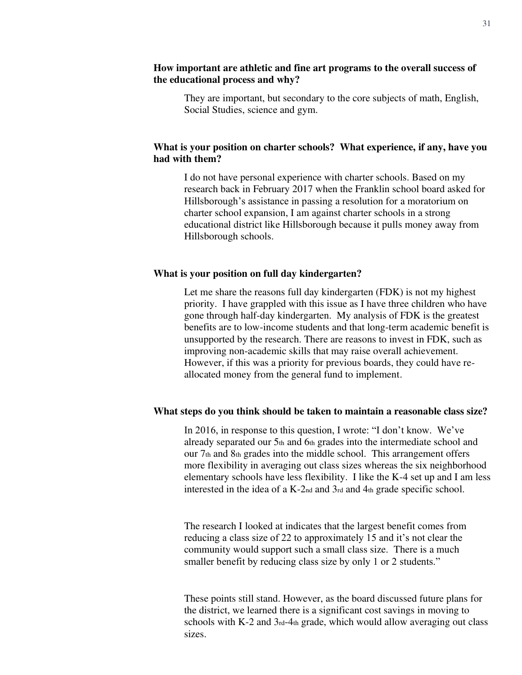#### **How important are athletic and fine art programs to the overall success of the educational process and why?**

They are important, but secondary to the core subjects of math, English, Social Studies, science and gym.

#### **What is your position on charter schools? What experience, if any, have you had with them?**

I do not have personal experience with charter schools. Based on my research back in February 2017 when the Franklin school board asked for Hillsborough's assistance in passing a resolution for a moratorium on charter school expansion, I am against charter schools in a strong educational district like Hillsborough because it pulls money away from Hillsborough schools.

#### **What is your position on full day kindergarten?**

Let me share the reasons full day kindergarten (FDK) is not my highest priority. I have grappled with this issue as I have three children who have gone through half-day kindergarten. My analysis of FDK is the greatest benefits are to low-income students and that long-term academic benefit is unsupported by the research. There are reasons to invest in FDK, such as improving non-academic skills that may raise overall achievement. However, if this was a priority for previous boards, they could have reallocated money from the general fund to implement.

#### **What steps do you think should be taken to maintain a reasonable class size?**

In 2016, in response to this question, I wrote: "I don't know. We've already separated our 5th and 6th grades into the intermediate school and our 7th and 8th grades into the middle school. This arrangement offers more flexibility in averaging out class sizes whereas the six neighborhood elementary schools have less flexibility. I like the K-4 set up and I am less interested in the idea of a K-2nd and 3rd and 4th grade specific school.

The research I looked at indicates that the largest benefit comes from reducing a class size of 22 to approximately 15 and it's not clear the community would support such a small class size. There is a much smaller benefit by reducing class size by only 1 or 2 students."

These points still stand. However, as the board discussed future plans for the district, we learned there is a significant cost savings in moving to schools with  $K-2$  and  $3rd-4th$  grade, which would allow averaging out class sizes.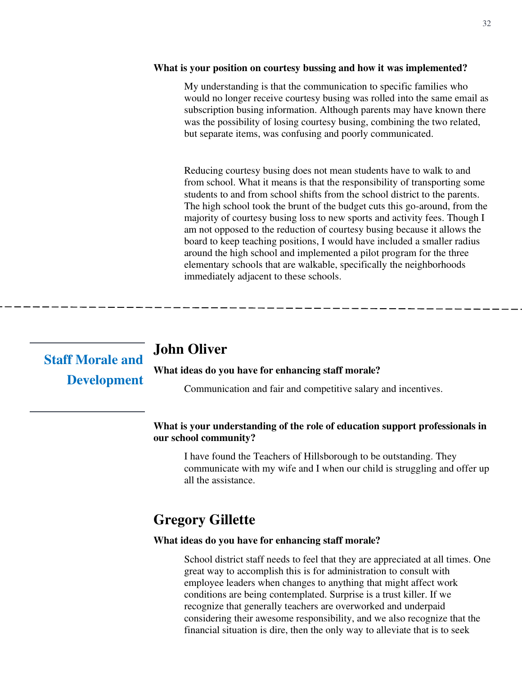#### **What is your position on courtesy bussing and how it was implemented?**

My understanding is that the communication to specific families who would no longer receive courtesy busing was rolled into the same email as subscription busing information. Although parents may have known there was the possibility of losing courtesy busing, combining the two related, but separate items, was confusing and poorly communicated.

Reducing courtesy busing does not mean students have to walk to and from school. What it means is that the responsibility of transporting some students to and from school shifts from the school district to the parents. The high school took the brunt of the budget cuts this go-around, from the majority of courtesy busing loss to new sports and activity fees. Though I am not opposed to the reduction of courtesy busing because it allows the board to keep teaching positions, I would have included a smaller radius around the high school and implemented a pilot program for the three elementary schools that are walkable, specifically the neighborhoods immediately adjacent to these schools.

| <b>Staff Morale and</b> | Jonn.   |
|-------------------------|---------|
|                         | What id |
| <b>Development</b>      |         |

### **Oliver**

#### leas do you have for enhancing staff morale?

Communication and fair and competitive salary and incentives.

#### **What is your understanding of the role of education support professionals in our school community?**

I have found the Teachers of Hillsborough to be outstanding. They communicate with my wife and I when our child is struggling and offer up all the assistance.

### **Gregory Gillette**

#### **What ideas do you have for enhancing staff morale?**

School district staff needs to feel that they are appreciated at all times. One great way to accomplish this is for administration to consult with employee leaders when changes to anything that might affect work conditions are being contemplated. Surprise is a trust killer. If we recognize that generally teachers are overworked and underpaid considering their awesome responsibility, and we also recognize that the financial situation is dire, then the only way to alleviate that is to seek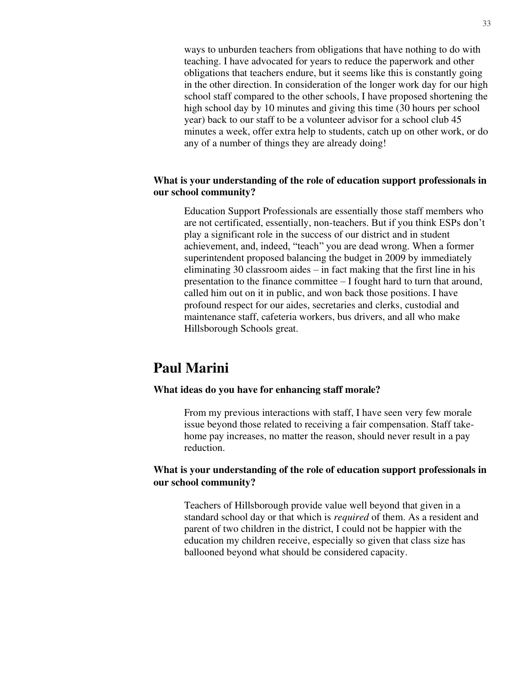ways to unburden teachers from obligations that have nothing to do with teaching. I have advocated for years to reduce the paperwork and other obligations that teachers endure, but it seems like this is constantly going in the other direction. In consideration of the longer work day for our high school staff compared to the other schools, I have proposed shortening the high school day by 10 minutes and giving this time (30 hours per school year) back to our staff to be a volunteer advisor for a school club 45 minutes a week, offer extra help to students, catch up on other work, or do any of a number of things they are already doing!

#### **What is your understanding of the role of education support professionals in our school community?**

Education Support Professionals are essentially those staff members who are not certificated, essentially, non-teachers. But if you think ESPs don't play a significant role in the success of our district and in student achievement, and, indeed, "teach" you are dead wrong. When a former superintendent proposed balancing the budget in 2009 by immediately eliminating 30 classroom aides – in fact making that the first line in his presentation to the finance committee – I fought hard to turn that around, called him out on it in public, and won back those positions. I have profound respect for our aides, secretaries and clerks, custodial and maintenance staff, cafeteria workers, bus drivers, and all who make Hillsborough Schools great.

### **Paul Marini**

#### **What ideas do you have for enhancing staff morale?**

From my previous interactions with staff, I have seen very few morale issue beyond those related to receiving a fair compensation. Staff takehome pay increases, no matter the reason, should never result in a pay reduction.

#### **What is your understanding of the role of education support professionals in our school community?**

Teachers of Hillsborough provide value well beyond that given in a standard school day or that which is *required* of them. As a resident and parent of two children in the district, I could not be happier with the education my children receive, especially so given that class size has ballooned beyond what should be considered capacity.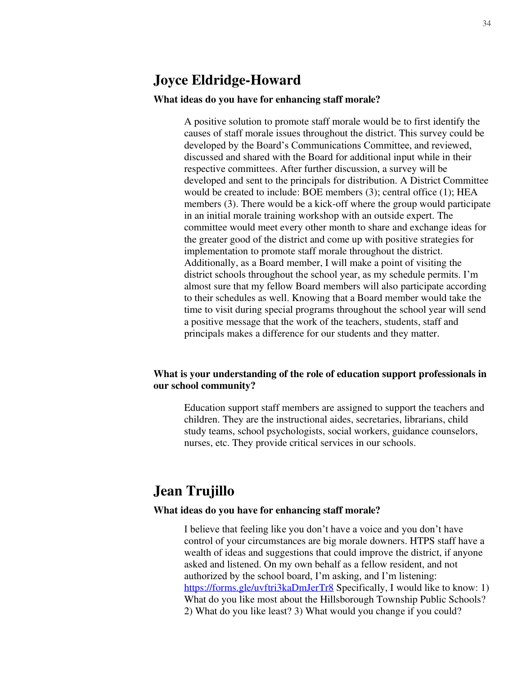### **Joyce Eldridge-Howard**

#### **What ideas do you have for enhancing staff morale?**

A positive solution to promote staff morale would be to first identify the causes of staff morale issues throughout the district. This survey could be developed by the Board's Communications Committee, and reviewed, discussed and shared with the Board for additional input while in their respective committees. After further discussion, a survey will be developed and sent to the principals for distribution. A District Committee would be created to include: BOE members (3); central office (1); HEA members (3). There would be a kick-off where the group would participate in an initial morale training workshop with an outside expert. The committee would meet every other month to share and exchange ideas for the greater good of the district and come up with positive strategies for implementation to promote staff morale throughout the district. Additionally, as a Board member, I will make a point of visiting the district schools throughout the school year, as my schedule permits. I'm almost sure that my fellow Board members will also participate according to their schedules as well. Knowing that a Board member would take the time to visit during special programs throughout the school year will send a positive message that the work of the teachers, students, staff and principals makes a difference for our students and they matter.

#### **What is your understanding of the role of education support professionals in our school community?**

Education support staff members are assigned to support the teachers and children. They are the instructional aides, secretaries, librarians, child study teams, school psychologists, social workers, guidance counselors, nurses, etc. They provide critical services in our schools.

### **Jean Trujillo**

#### **What ideas do you have for enhancing staff morale?**

I believe that feeling like you don't have a voice and you don't have control of your circumstances are big morale downers. HTPS staff have a wealth of ideas and suggestions that could improve the district, if anyone asked and listened. On my own behalf as a fellow resident, and not authorized by the school board, I'm asking, and I'm listening: <https://forms.gle/uvftri3kaDmJerTr8>Specifically, I would like to know: 1) What do you like most about the Hillsborough Township Public Schools? 2) What do you like least? 3) What would you change if you could?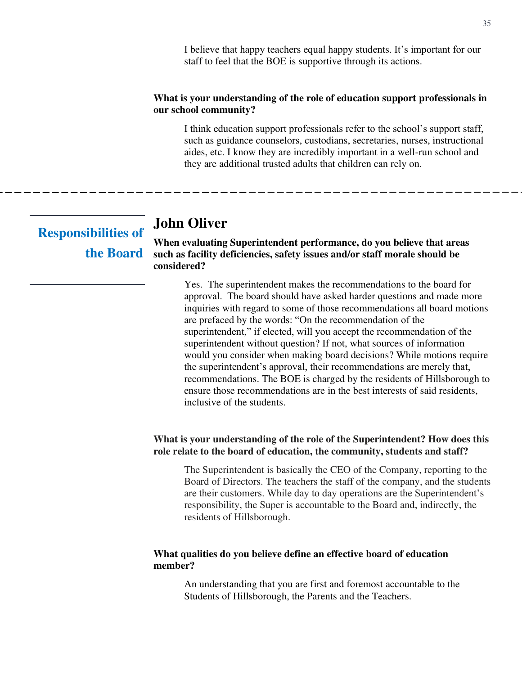#### **What is your understanding of the role of education support professionals in our school community?**

I think education support professionals refer to the school's support staff, such as guidance counselors, custodians, secretaries, nurses, instructional aides, etc. I know they are incredibly important in a well-run school and they are additional trusted adults that children can rely on.

# **John Oliver**

**When evaluating Superintendent performance, do you believe that areas such as facility deficiencies, safety issues and/or staff morale should be considered? Responsibilities of the Board** 

> Yes. The superintendent makes the recommendations to the board for approval. The board should have asked harder questions and made more inquiries with regard to some of those recommendations all board motions are prefaced by the words: "On the recommendation of the superintendent," if elected, will you accept the recommendation of the superintendent without question? If not, what sources of information would you consider when making board decisions? While motions require the superintendent's approval, their recommendations are merely that, recommendations. The BOE is charged by the residents of Hillsborough to ensure those recommendations are in the best interests of said residents, inclusive of the students.

#### **What is your understanding of the role of the Superintendent? How does this role relate to the board of education, the community, students and staff?**

The Superintendent is basically the CEO of the Company, reporting to the Board of Directors. The teachers the staff of the company, and the students are their customers. While day to day operations are the Superintendent's responsibility, the Super is accountable to the Board and, indirectly, the residents of Hillsborough.

#### **What qualities do you believe define an effective board of education member?**

An understanding that you are first and foremost accountable to the Students of Hillsborough, the Parents and the Teachers.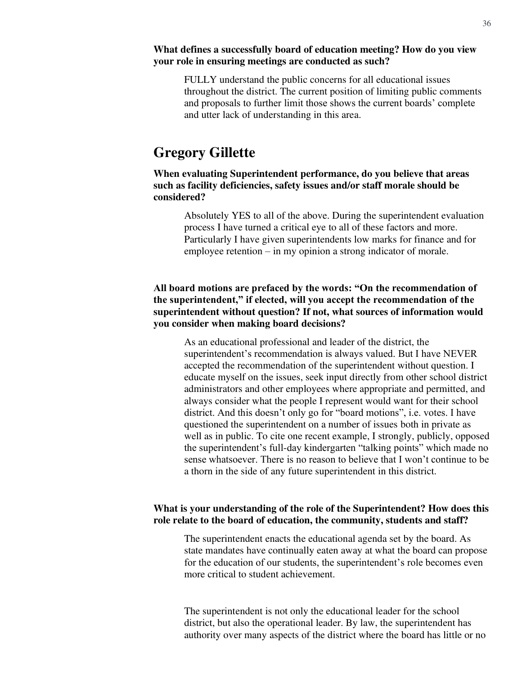#### **What defines a successfully board of education meeting? How do you view your role in ensuring meetings are conducted as such?**

FULLY understand the public concerns for all educational issues throughout the district. The current position of limiting public comments and proposals to further limit those shows the current boards' complete and utter lack of understanding in this area.

### **Gregory Gillette**

**When evaluating Superintendent performance, do you believe that areas such as facility deficiencies, safety issues and/or staff morale should be considered?** 

Absolutely YES to all of the above. During the superintendent evaluation process I have turned a critical eye to all of these factors and more. Particularly I have given superintendents low marks for finance and for employee retention – in my opinion a strong indicator of morale.

#### **All board motions are prefaced by the words: "On the recommendation of the superintendent," if elected, will you accept the recommendation of the superintendent without question? If not, what sources of information would you consider when making board decisions?**

As an educational professional and leader of the district, the superintendent's recommendation is always valued. But I have NEVER accepted the recommendation of the superintendent without question. I educate myself on the issues, seek input directly from other school district administrators and other employees where appropriate and permitted, and always consider what the people I represent would want for their school district. And this doesn't only go for "board motions", i.e. votes. I have questioned the superintendent on a number of issues both in private as well as in public. To cite one recent example, I strongly, publicly, opposed the superintendent's full-day kindergarten "talking points" which made no sense whatsoever. There is no reason to believe that I won't continue to be a thorn in the side of any future superintendent in this district.

#### **What is your understanding of the role of the Superintendent? How does this role relate to the board of education, the community, students and staff?**

The superintendent enacts the educational agenda set by the board. As state mandates have continually eaten away at what the board can propose for the education of our students, the superintendent's role becomes even more critical to student achievement.

The superintendent is not only the educational leader for the school district, but also the operational leader. By law, the superintendent has authority over many aspects of the district where the board has little or no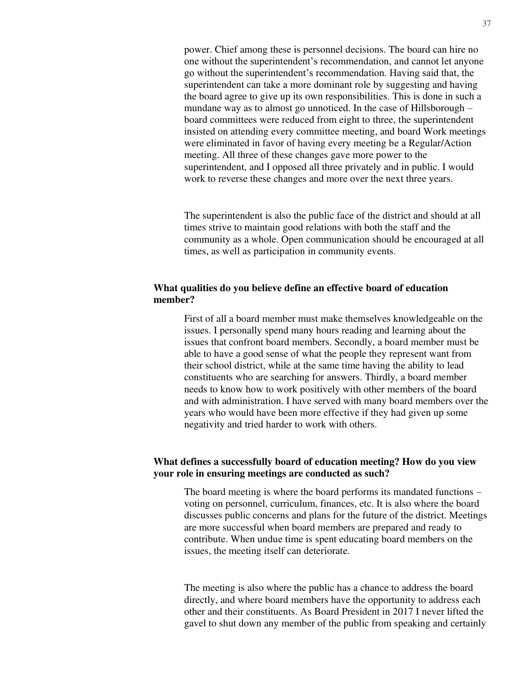power. Chief among these is personnel decisions. The board can hire no one without the superintendent's recommendation, and cannot let anyone go without the superintendent's recommendation. Having said that, the superintendent can take a more dominant role by suggesting and having the board agree to give up its own responsibilities. This is done in such a mundane way as to almost go unnoticed. In the case of Hillsborough – board committees were reduced from eight to three, the superintendent insisted on attending every committee meeting, and board Work meetings were eliminated in favor of having every meeting be a Regular/Action meeting. All three of these changes gave more power to the superintendent, and I opposed all three privately and in public. I would work to reverse these changes and more over the next three years.

The superintendent is also the public face of the district and should at all times strive to maintain good relations with both the staff and the community as a whole. Open communication should be encouraged at all times, as well as participation in community events.

#### **What qualities do you believe define an effective board of education member?**

First of all a board member must make themselves knowledgeable on the issues. I personally spend many hours reading and learning about the issues that confront board members. Secondly, a board member must be able to have a good sense of what the people they represent want from their school district, while at the same time having the ability to lead constituents who are searching for answers. Thirdly, a board member needs to know how to work positively with other members of the board and with administration. I have served with many board members over the years who would have been more effective if they had given up some negativity and tried harder to work with others.

#### **What defines a successfully board of education meeting? How do you view your role in ensuring meetings are conducted as such?**

The board meeting is where the board performs its mandated functions – voting on personnel, curriculum, finances, etc. It is also where the board discusses public concerns and plans for the future of the district. Meetings are more successful when board members are prepared and ready to contribute. When undue time is spent educating board members on the issues, the meeting itself can deteriorate.

The meeting is also where the public has a chance to address the board directly, and where board members have the opportunity to address each other and their constituents. As Board President in 2017 I never lifted the gavel to shut down any member of the public from speaking and certainly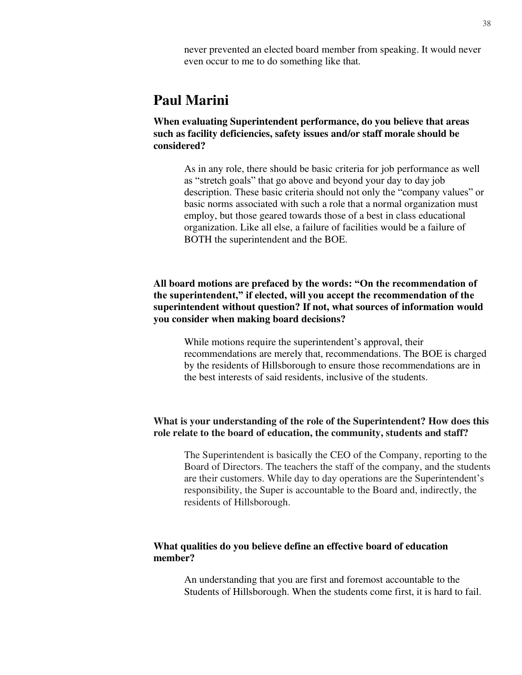never prevented an elected board member from speaking. It would never even occur to me to do something like that.

### **Paul Marini**

**When evaluating Superintendent performance, do you believe that areas such as facility deficiencies, safety issues and/or staff morale should be considered?**

As in any role, there should be basic criteria for job performance as well as "stretch goals" that go above and beyond your day to day job description. These basic criteria should not only the "company values" or basic norms associated with such a role that a normal organization must employ, but those geared towards those of a best in class educational organization. Like all else, a failure of facilities would be a failure of BOTH the superintendent and the BOE.

#### **All board motions are prefaced by the words: "On the recommendation of the superintendent," if elected, will you accept the recommendation of the superintendent without question? If not, what sources of information would you consider when making board decisions?**

While motions require the superintendent's approval, their recommendations are merely that, recommendations. The BOE is charged by the residents of Hillsborough to ensure those recommendations are in the best interests of said residents, inclusive of the students.

#### **What is your understanding of the role of the Superintendent? How does this role relate to the board of education, the community, students and staff?**

The Superintendent is basically the CEO of the Company, reporting to the Board of Directors. The teachers the staff of the company, and the students are their customers. While day to day operations are the Superintendent's responsibility, the Super is accountable to the Board and, indirectly, the residents of Hillsborough.

#### **What qualities do you believe define an effective board of education member?**

An understanding that you are first and foremost accountable to the Students of Hillsborough. When the students come first, it is hard to fail.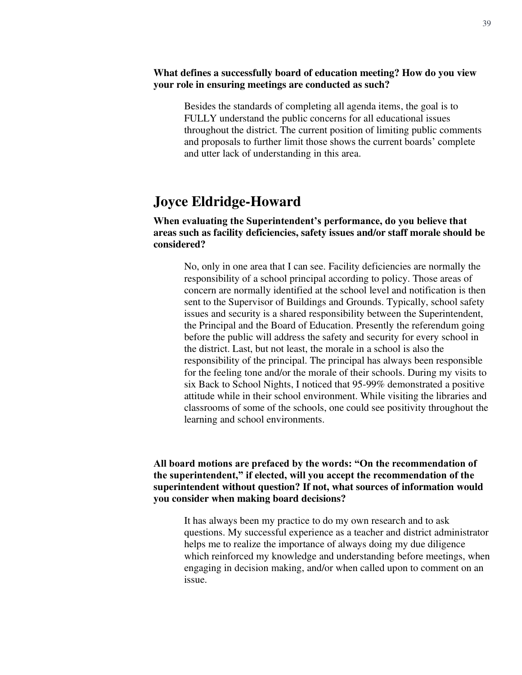#### **What defines a successfully board of education meeting? How do you view your role in ensuring meetings are conducted as such?**

Besides the standards of completing all agenda items, the goal is to FULLY understand the public concerns for all educational issues throughout the district. The current position of limiting public comments and proposals to further limit those shows the current boards' complete and utter lack of understanding in this area.

### **Joyce Eldridge-Howard**

#### **When evaluating the Superintendent's performance, do you believe that areas such as facility deficiencies, safety issues and/or staff morale should be considered?**

No, only in one area that I can see. Facility deficiencies are normally the responsibility of a school principal according to policy. Those areas of concern are normally identified at the school level and notification is then sent to the Supervisor of Buildings and Grounds. Typically, school safety issues and security is a shared responsibility between the Superintendent, the Principal and the Board of Education. Presently the referendum going before the public will address the safety and security for every school in the district. Last, but not least, the morale in a school is also the responsibility of the principal. The principal has always been responsible for the feeling tone and/or the morale of their schools. During my visits to six Back to School Nights, I noticed that 95-99% demonstrated a positive attitude while in their school environment. While visiting the libraries and classrooms of some of the schools, one could see positivity throughout the learning and school environments.

#### **All board motions are prefaced by the words: "On the recommendation of the superintendent," if elected, will you accept the recommendation of the superintendent without question? If not, what sources of information would you consider when making board decisions?**

It has always been my practice to do my own research and to ask questions. My successful experience as a teacher and district administrator helps me to realize the importance of always doing my due diligence which reinforced my knowledge and understanding before meetings, when engaging in decision making, and/or when called upon to comment on an issue.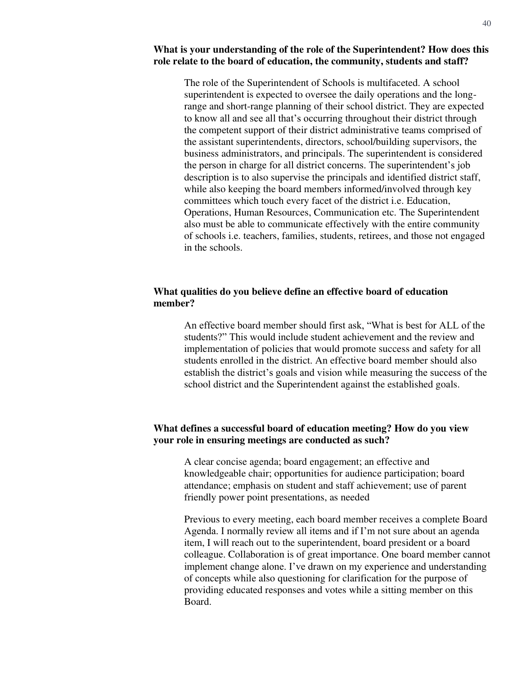#### **What is your understanding of the role of the Superintendent? How does this role relate to the board of education, the community, students and staff?**

The role of the Superintendent of Schools is multifaceted. A school superintendent is expected to oversee the daily operations and the longrange and short-range planning of their school district. They are expected to know all and see all that's occurring throughout their district through the competent support of their district administrative teams comprised of the assistant superintendents, directors, school/building supervisors, the business administrators, and principals. The superintendent is considered the person in charge for all district concerns. The superintendent's job description is to also supervise the principals and identified district staff, while also keeping the board members informed/involved through key committees which touch every facet of the district i.e. Education, Operations, Human Resources, Communication etc. The Superintendent also must be able to communicate effectively with the entire community of schools i.e. teachers, families, students, retirees, and those not engaged in the schools.

#### **What qualities do you believe define an effective board of education member?**

An effective board member should first ask, "What is best for ALL of the students?" This would include student achievement and the review and implementation of policies that would promote success and safety for all students enrolled in the district. An effective board member should also establish the district's goals and vision while measuring the success of the school district and the Superintendent against the established goals.

#### **What defines a successful board of education meeting? How do you view your role in ensuring meetings are conducted as such?**

A clear concise agenda; board engagement; an effective and knowledgeable chair; opportunities for audience participation; board attendance; emphasis on student and staff achievement; use of parent friendly power point presentations, as needed

Previous to every meeting, each board member receives a complete Board Agenda. I normally review all items and if I'm not sure about an agenda item, I will reach out to the superintendent, board president or a board colleague. Collaboration is of great importance. One board member cannot implement change alone. I've drawn on my experience and understanding of concepts while also questioning for clarification for the purpose of providing educated responses and votes while a sitting member on this Board.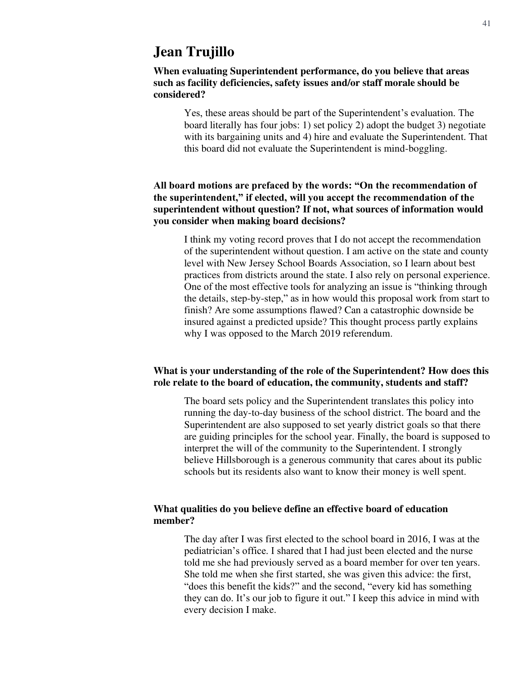### **Jean Trujillo**

#### **When evaluating Superintendent performance, do you believe that areas such as facility deficiencies, safety issues and/or staff morale should be considered?**

Yes, these areas should be part of the Superintendent's evaluation. The board literally has four jobs: 1) set policy 2) adopt the budget 3) negotiate with its bargaining units and 4) hire and evaluate the Superintendent. That this board did not evaluate the Superintendent is mind-boggling.

#### **All board motions are prefaced by the words: "On the recommendation of the superintendent," if elected, will you accept the recommendation of the superintendent without question? If not, what sources of information would you consider when making board decisions?**

I think my voting record proves that I do not accept the recommendation of the superintendent without question. I am active on the state and county level with New Jersey School Boards Association, so I learn about best practices from districts around the state. I also rely on personal experience. One of the most effective tools for analyzing an issue is "thinking through the details, step-by-step," as in how would this proposal work from start to finish? Are some assumptions flawed? Can a catastrophic downside be insured against a predicted upside? This thought process partly explains why I was opposed to the March 2019 referendum.

#### **What is your understanding of the role of the Superintendent? How does this role relate to the board of education, the community, students and staff?**

The board sets policy and the Superintendent translates this policy into running the day-to-day business of the school district. The board and the Superintendent are also supposed to set yearly district goals so that there are guiding principles for the school year. Finally, the board is supposed to interpret the will of the community to the Superintendent. I strongly believe Hillsborough is a generous community that cares about its public schools but its residents also want to know their money is well spent.

#### **What qualities do you believe define an effective board of education member?**

The day after I was first elected to the school board in 2016, I was at the pediatrician's office. I shared that I had just been elected and the nurse told me she had previously served as a board member for over ten years. She told me when she first started, she was given this advice: the first, "does this benefit the kids?" and the second, "every kid has something they can do. It's our job to figure it out." I keep this advice in mind with every decision I make.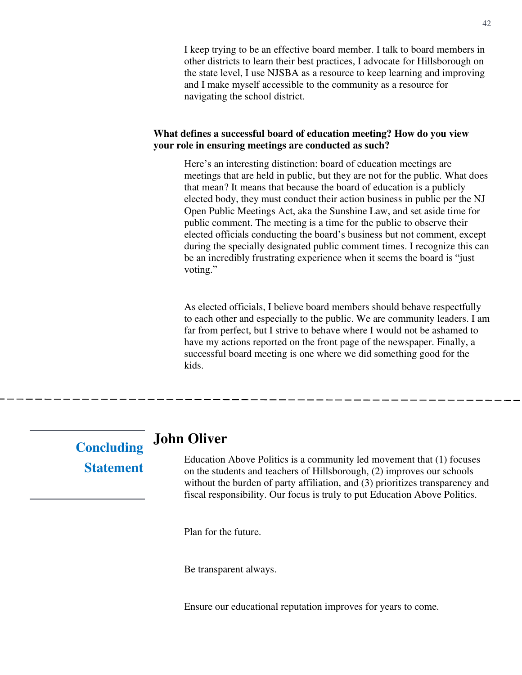I keep trying to be an effective board member. I talk to board members in other districts to learn their best practices, I advocate for Hillsborough on the state level, I use NJSBA as a resource to keep learning and improving and I make myself accessible to the community as a resource for navigating the school district.

#### **What defines a successful board of education meeting? How do you view your role in ensuring meetings are conducted as such?**

Here's an interesting distinction: board of education meetings are meetings that are held in public, but they are not for the public. What does that mean? It means that because the board of education is a publicly elected body, they must conduct their action business in public per the NJ Open Public Meetings Act, aka the Sunshine Law, and set aside time for public comment. The meeting is a time for the public to observe their elected officials conducting the board's business but not comment, except during the specially designated public comment times. I recognize this can be an incredibly frustrating experience when it seems the board is "just voting."

As elected officials, I believe board members should behave respectfully to each other and especially to the public. We are community leaders. I am far from perfect, but I strive to behave where I would not be ashamed to have my actions reported on the front page of the newspaper. Finally, a successful board meeting is one where we did something good for the kids.

# **Concluding Statement**

### **John Oliver**

Education Above Politics is a community led movement that (1) focuses on the students and teachers of Hillsborough, (2) improves our schools without the burden of party affiliation, and (3) prioritizes transparency and fiscal responsibility. Our focus is truly to put Education Above Politics.

Plan for the future.

Be transparent always.

Ensure our educational reputation improves for years to come.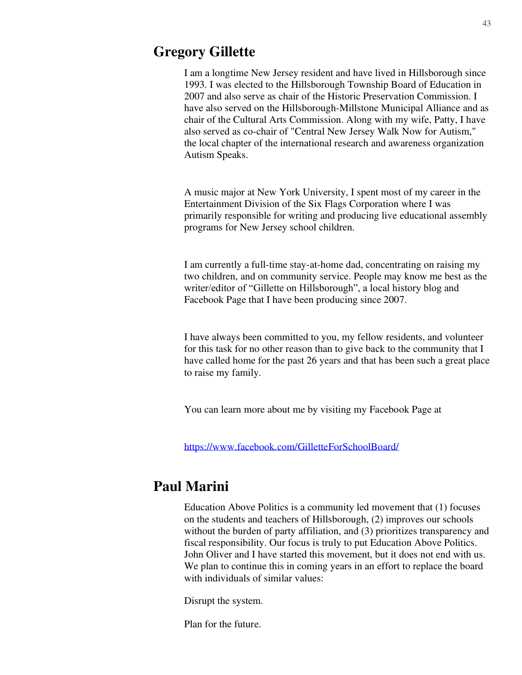### **Gregory Gillette**

I am a longtime New Jersey resident and have lived in Hillsborough since 1993. I was elected to the Hillsborough Township Board of Education in 2007 and also serve as chair of the Historic Preservation Commission. I have also served on the Hillsborough-Millstone Municipal Alliance and as chair of the Cultural Arts Commission. Along with my wife, Patty, I have also served as co-chair of "Central New Jersey Walk Now for Autism," the local chapter of the international research and awareness organization Autism Speaks.

A music major at New York University, I spent most of my career in the Entertainment Division of the Six Flags Corporation where I was primarily responsible for writing and producing live educational assembly programs for New Jersey school children.

I am currently a full-time stay-at-home dad, concentrating on raising my two children, and on community service. People may know me best as the writer/editor of "Gillette on Hillsborough", a local history blog and Facebook Page that I have been producing since 2007.

I have always been committed to you, my fellow residents, and volunteer for this task for no other reason than to give back to the community that I have called home for the past 26 years and that has been such a great place to raise my family.

You can learn more about me by visiting my Facebook Page at

<https://www.facebook.com/GilletteForSchoolBoard/>

# **Paul Marini**

Education Above Politics is a community led movement that (1) focuses on the students and teachers of Hillsborough, (2) improves our schools without the burden of party affiliation, and (3) prioritizes transparency and fiscal responsibility. Our focus is truly to put Education Above Politics. John Oliver and I have started this movement, but it does not end with us. We plan to continue this in coming years in an effort to replace the board with individuals of similar values:

Disrupt the system.

Plan for the future.